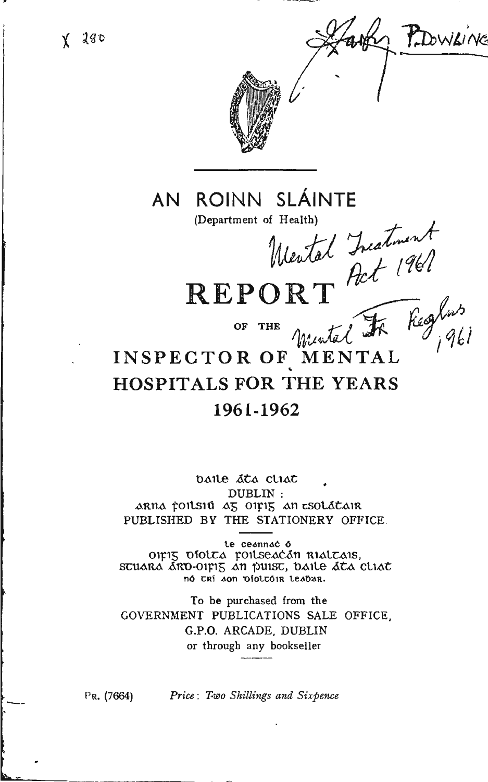$X$  280





AN ROINN SLÁINTE

(Department of Health)

Mental Incatinent<br>REPORT Pot 1961

INSPECTOR OF MENTAL **HOSPITALS FOR THE YEARS** 1961-1962

baile ata cliat DUBLIN: ARNA FOILSIU AS OIFIS AN ESOLATAIR PUBLISHED BY THE STATIONERY OFFICE.

te ceannac o OIFIS DIOLEA FOILSEACÁN RIALEAIS, SCUARA ARD-OILIS AN PUISC, DAILE ACA CLIAC nó trí son piottóir teabar.

To be purchased from the GOVERNMENT PUBLICATIONS SALE OFFICE. G.P.O. ARCADE, DUBLIN or through any bookseller

 $Pr. (7664)$ 

Price: Two Shillings and Sixpence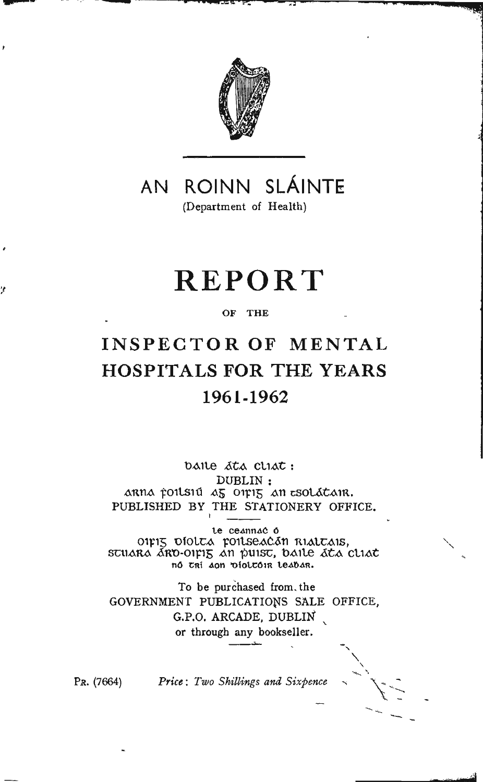

AN ROINN SLÁINTE (Department of Health)

# **REPORT**

#### OF THE

# INSPECTOR OF MENTAL **HOSPITALS FOR THE YEARS** 1961-1962

baile ata cliat: DUBLIN: arna poilsiú az oipiz an esolátair. PUBLISHED BY THE STATIONERY OFFICE.

te ceannac o OIFIS DÍOLEA FOILSEACAN RIALEAIS,<br>SEUARA ARO-OIFIS AN PUISE, DAILE ALA CLIAL no tri don violtoir leabar.

To be purchased from the GOVERNMENT PUBLICATIONS SALE OFFICE, G.P.O. ARCADE, DUBLIN or through any bookseller.

PR. (7664) Price: Two Shillings and Sixpence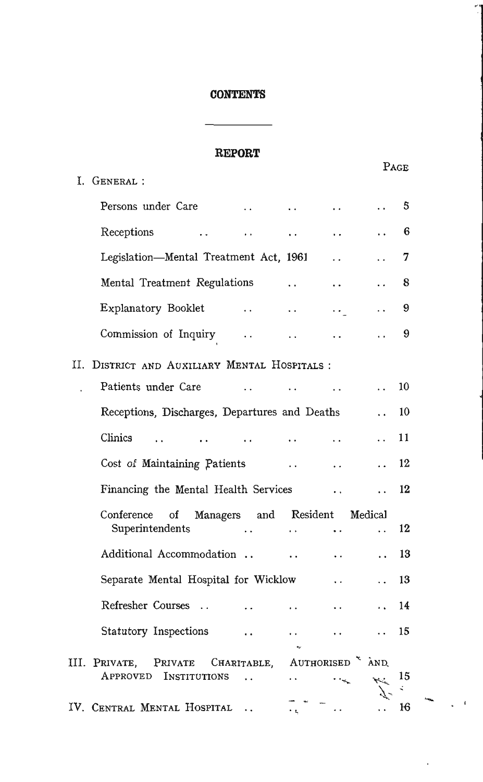### **CONTENTS**

# **REPORT**

|                                                                     |                                              |                                 |                      | PAGE |  |
|---------------------------------------------------------------------|----------------------------------------------|---------------------------------|----------------------|------|--|
| I. GENERAL :                                                        |                                              |                                 |                      |      |  |
| Persons under Care                                                  | $\sim$<br>$\ddot{\phantom{a}}$               | $\ddot{\phantom{0}}$            |                      | 5    |  |
| Receptions                                                          | $\ddot{\phantom{0}}$                         |                                 |                      | 6    |  |
| Legislation-Mental Treatment Act, 1961                              |                                              | $\ddot{\phantom{0}}$            |                      | 7    |  |
| Mental Treatment Regulations                                        | $\ddotsc$                                    | $\ddot{\phantom{0}}$            |                      | 8    |  |
| Explanatory Booklet                                                 | <b>Contractor</b><br>$\ddotsc$               | $\cdot$ .                       |                      | 9    |  |
| Commission of Inquiry                                               | $\ddot{\phantom{0}}$<br>$\ddot{\phantom{0}}$ | $\ddot{\phantom{0}}$            |                      | 9    |  |
| II. DISTRICT AND AUXILIARY MENTAL HOSPITALS:                        |                                              |                                 |                      |      |  |
| Patients under Care                                                 |                                              | $\ddot{\phantom{0}}$            |                      | 10   |  |
| Receptions, Discharges, Departures and Deaths                       |                                              |                                 |                      | 10   |  |
| Clinics                                                             | $\ddot{\phantom{0}}$<br>$\ddot{\phantom{0}}$ | $\ddot{\phantom{a}}$            | $\ddot{\phantom{0}}$ | 11   |  |
| Cost of Maintaining Patients                                        |                                              | $\ddot{\phantom{0}}$            |                      | 12   |  |
| Financing the Mental Health Services                                |                                              | $\ddot{\phantom{0}}$            |                      | 12   |  |
| Conference<br>$\circ$ f<br>Managers                                 | and Resident                                 |                                 | Medical              |      |  |
| Superintendents                                                     | $\ddot{\phantom{a}}$<br>$\ddot{\phantom{0}}$ | $\ddot{\phantom{0}}$            | $\ddot{\phantom{0}}$ | 12   |  |
| Additional Accommodation                                            | $\ddot{\phantom{0}}$                         | $\ddot{\phantom{0}}$            |                      | 13   |  |
| Separate Mental Hospital for Wicklow                                |                                              | $\ddot{\phantom{0}}$            |                      | 13   |  |
| Refresher Courses                                                   | . .                                          | $\ddot{\phantom{0}}$            |                      | 14   |  |
| Statutory Inspections                                               |                                              |                                 |                      | 15   |  |
|                                                                     |                                              |                                 |                      |      |  |
| III. PRIVATE,<br>PRIVATE<br>CHARITABLE,<br>APPROVED<br>INSTITUTIONS | $\ddot{\phantom{0}}$                         | AUTHORISED <sup>&amp;</sup> AND |                      | 15   |  |
|                                                                     |                                              |                                 |                      | ÷    |  |
| IV. Central Mental Hospital                                         | $\ddot{\phantom{0}}$                         |                                 |                      | 16   |  |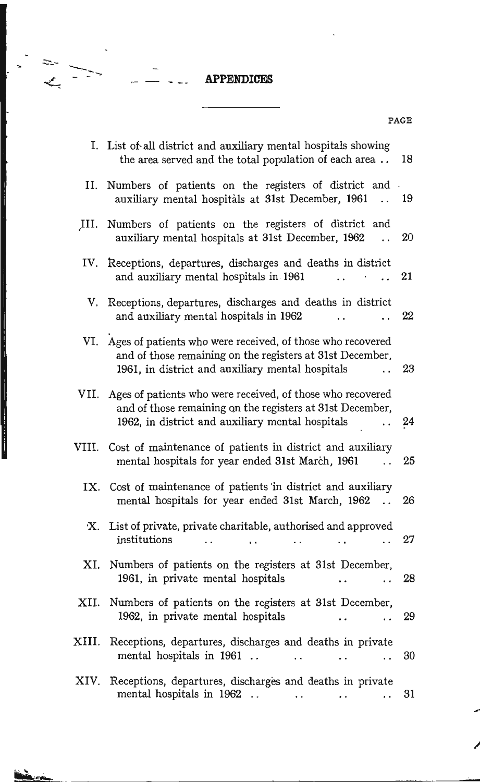## **APPENDICES**

PAGE

 $\begin{array}{c}\n\mathbf{r} \\
\mathbf{r} \\
\mathbf{r} \\
\mathbf{r}\n\end{array}$ 

|       | I. List of all district and auxiliary mental hospitals showing<br>the area served and the total population of each area                                                          | 18 |
|-------|----------------------------------------------------------------------------------------------------------------------------------------------------------------------------------|----|
| II.   | Numbers of patients on the registers of district and .<br>auxiliary mental hospitals at 31st December, 1961<br>$\ddot{\phantom{0}}$                                              | 19 |
| III.  | Numbers of patients on the registers of district and<br>auxiliary mental hospitals at 31st December, 1962                                                                        | 20 |
|       | IV. Receptions, departures, discharges and deaths in district<br>and auxiliary mental hospitals in 1961<br>$\ddot{\phantom{0}}$                                                  | 21 |
|       | V. Receptions, departures, discharges and deaths in district<br>and auxiliary mental hospitals in 1962                                                                           | 22 |
|       | VI. Ages of patients who were received, of those who recovered<br>and of those remaining on the registers at 31st December,<br>1961, in district and auxiliary mental hospitals  | 23 |
|       | VII. Ages of patients who were received, of those who recovered<br>and of those remaining on the registers at 31st December,<br>1962, in district and auxiliary mental hospitals | 24 |
|       | VIII. Cost of maintenance of patients in district and auxiliary<br>mental hospitals for year ended 31st March, 1961<br>$\ddot{\phantom{0}}$                                      | 25 |
|       | IX. Cost of maintenance of patients in district and auxiliary<br>mental hospitals for year ended 31st March, 1962<br>$\ddot{\phantom{0}}$                                        | 26 |
|       | X. List of private, private charitable, authorised and approved<br>institutions                                                                                                  | 27 |
| XI.   | Numbers of patients on the registers at 31st December,<br>1961, in private mental hospitals                                                                                      | 28 |
|       | XII. Numbers of patients on the registers at 31st December,<br>1962, in private mental hospitals                                                                                 | 29 |
| XIII. | Receptions, departures, discharges and deaths in private<br>mental hospitals in 1961<br>$\ddot{\phantom{0}}$<br>. .                                                              | 30 |

XIV. Receptions, departures, discharges and deaths in private mental hospitals in 1962  $\ldots$ 31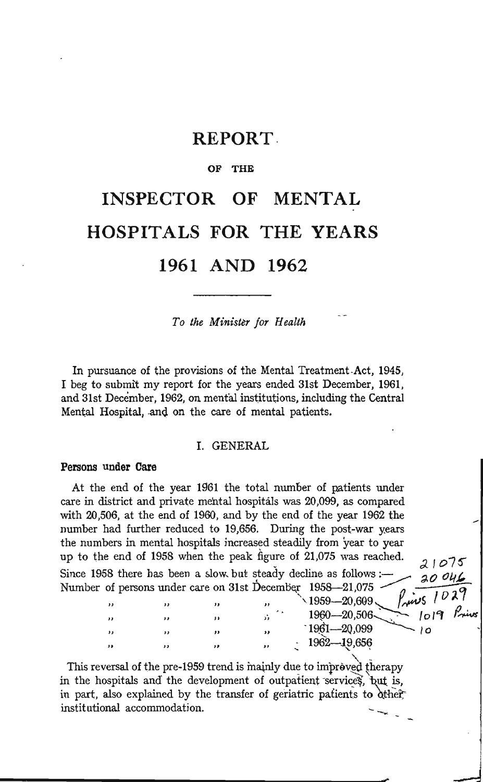# **REPORT**

#### OF THE

# INSPECTOR OF **MENTAL HOSPITALS FOR THE YEARS** 1961 AND 1962

To the Minister for Health

In pursuance of the provisions of the Mental Treatment Act, 1945, I beg to submit my report for the years ended 31st December, 1961, and 31st December, 1962, on mental institutions, including the Central Mental Hospital, and on the care of mental patients.

#### I. GENERAL

#### Persons under Care

At the end of the year 1961 the total number of patients under care in district and private mental hospitals was 20,099, as compared with 20,506, at the end of 1960, and by the end of the year 1962 the number had further reduced to 19,656. During the post-war years the numbers in mental hospitals increased steadily from year to year up to the end of 1958 when the peak figure of 21,075 was reached. 21075 Since 1958 there has been a slow but steady decline as follows :- $20046$ Number of persons under care on 31st December 1958-21,075  $5/029$  $\rho$  .

| ,, |  | ,, | $1999 - 20,609$<br>$1\omega$ |
|----|--|----|------------------------------|
| ,, |  |    | Pņ<br>1960-20,506-<br>1019   |
| ,, |  |    | $1961 - 20,099$              |
| ,, |  | ,, | 1962-19,656                  |

This reversal of the pre-1959 trend is mainly due to improved therapy in the hospitals and the development of outpatient services, but is, in part, also explained by the transfer of geriatric patients to other institutional accommodation.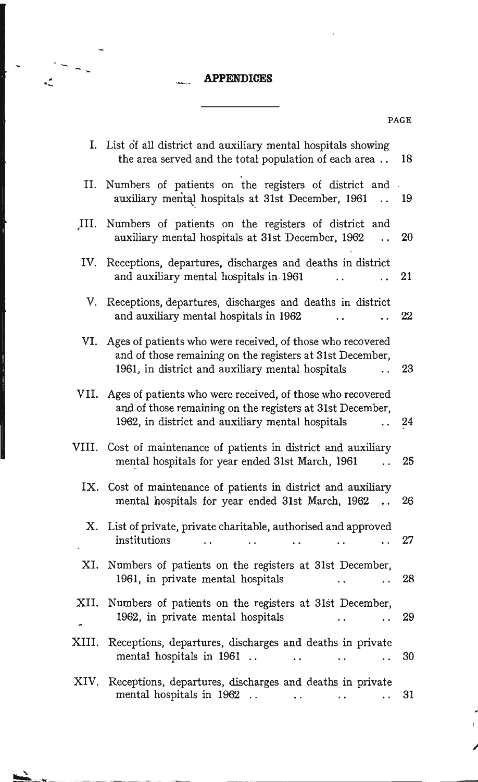# .- **APPENDICES**

 $\kappa_m^2$ 

٦

| I.    | List of all district and auxiliary mental hospitals showing<br>the area served and the total population of each area                                                        | 18 |
|-------|-----------------------------------------------------------------------------------------------------------------------------------------------------------------------------|----|
| II.   | Numbers of patients on the registers of district and<br>auxiliary mental hospitals at 31st December, 1961<br>$\ddot{\phantom{a}}$                                           | 19 |
| III.  | Numbers of patients on the registers of district and<br>auxiliary mental hospitals at 31st December, 1962<br>$\ddot{\phantom{0}}$                                           | 20 |
| IV.   | Receptions, departures, discharges and deaths in district<br>and auxiliary mental hospitals in 1961                                                                         | 21 |
| V.    | Receptions, departures, discharges and deaths in district<br>and auxiliary mental hospitals in 1962                                                                         | 22 |
| VI.   | Ages of patients who were received, of those who recovered<br>and of those remaining on the registers at 31st December,<br>1961, in district and auxiliary mental hospitals | 23 |
| VII.  | Ages of patients who were received, of those who recovered<br>and of those remaining on the registers at 31st December,<br>1962, in district and auxiliary mental hospitals | 24 |
| VIII. | Cost of maintenance of patients in district and auxiliary<br>mental hospitals for year ended 31st March, 1961                                                               | 25 |
|       | IX. Cost of maintenance of patients in district and auxiliary<br>mental hospitals for year ended 31st March, 1962<br>$\ddot{\phantom{a}}$                                   | 26 |
| Х.    | List of private, private charitable, authorised and approved<br>institutions                                                                                                | 27 |
| XI.   | Numbers of patients on the registers at 31st December,<br>1961, in private mental hospitals                                                                                 | 28 |
| XII.  | Numbers of patients on the registers at 31st December,<br>1962, in private mental hospitals                                                                                 | 29 |
| XIII. | Receptions, departures, discharges and deaths in private<br>mental hospitals in 1961                                                                                        | 30 |
| XIV.  | Receptions, departures, discharges and deaths in private<br>mental hospitals in 1962<br>L.                                                                                  | 31 |

PAGE

/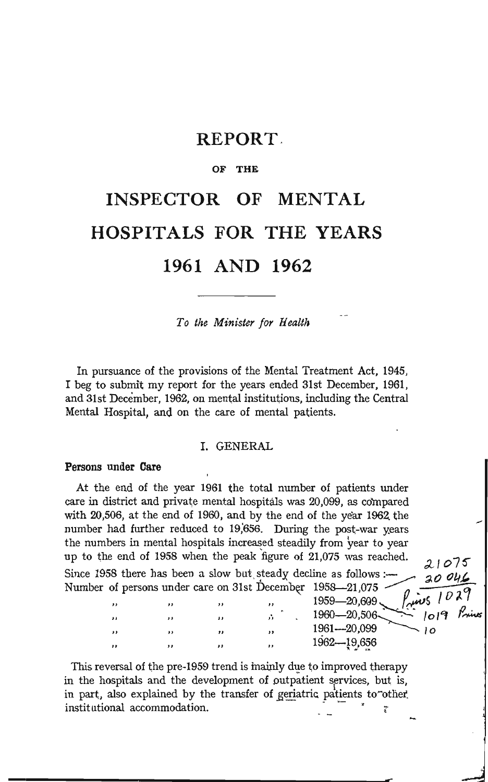# REPORT.

#### OF THE

# **INSPECTOR OF MENTAL HOSPITALS FOR THE YEARS 1961 AND 1962**

*To the Minister for Health* 

In pursuance of the provisions of the Mental Treatment Act, 1945, I beg to submit my report for the years ended 31st December, 1961, and 31st December, 1962, on mental institutions, including the Central Mental Hospital, and on the care of mental patients.

#### I. GENERAL

#### Persons under Care

Ы

At the end of the year 1961 the total number of patients under care in district and private mental hospitals was 20,099, as compared with 20,506, at the end of 1960, and by the end of the year 1962. the number had further reduced to 19,656. During the post-war years the numbers in mental hospitals increased steadily from year to year up to the end of 1958 when the peak figure of 21,075 was reached.<br>Since 1958 there has been a slow but, steady decline as follows :- :::... 20 0UL Number of persons under care on 31st December 1958-21,075.

 $1959 - 20,609$ ,

 $1960-20,506$   $1960$ 

 $''$  ,  $''$  ,  $''$  ,  $^{1961-20,099}$   $^{10}$ 1962-19,656 This reversal of the pre-1959 trend is mainly due to improved therapy

in the hospitals and the development of outpatient services, but is, in part, also explained by the transfer of geriatric patients to"other institutional accommodation.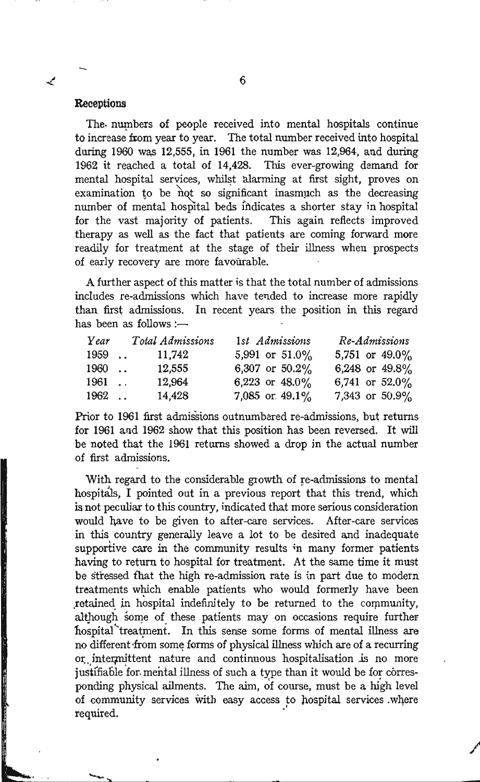#### **Receptions**

✓

The numbers of people received into mental hospitals continue to increase from year to year. The total number received into hospital during 1960 was 12,555, in 1961 the number was 12,964, and during 1962 it reached a total of 14,428. This ever-growing demand for mental hospital services, whilst alarming at first sight, proves on examination to be mot so significant inasmuch as the decreasing number of mental hospital beds indicates a shorter stay in hospital for the vast majority of patients. This again reflects improved therapy as well as the fact that patients are coming forward more readily for treatment at the stage of their illness when prospects of early recovery are more favourable.

A further aspect of this matter is that the total number of admissions includes re-admissions which have tended to increase more rapidly than first admissions. In recent years the position in this regard has been as follows : $-$ 

| Year   | Total Admissions | 1st Admissions    | Re-Admissions     |
|--------|------------------|-------------------|-------------------|
| $1959$ | 11.742           | 5,991 or $51.0\%$ | 5,751 or 49.0%    |
| 1960   | 12.555           | 6,307 or $50.2\%$ | 6,248 or 49.8%    |
| 1961.  | 12.964           | 6,223 or $48.0\%$ | 6,741 or $52.0\%$ |
| $1962$ | 14,428           | 7,085 or $49.1\%$ | 7,343 or $50.9\%$ |

Prior to 1961 first admissions outnumbered re-admissions, but returns for 1961 and 1962 show that this position has been reversed. It will be noted that the 1961 returns showed a drop in the actual number of first admissions.

With regard to the considerable growth of re-admissions to mental hospitals, I pointed out in a previous report that this trend, which is not peculiar to this country, indicated that more serious consideration would have to be given to after-care services. After-care services in this country generally leave a lot to be desired and inadequate supportive care in the community results in many former patients having to return to hospital for treatment. At the same time it must be stressed that the high re-admission rate is in part due to modem treatments which enable patients who would formerly have been retained in hospital indefinitely to be returned to the community, although some of these patients may on occasions require further hospital treatment. In this sense some forms of mental illness are no different from some forms of physical illness which are of a recurring or intermittent nature and continuous hospitalisation is no more justifiable for mental illness of such a type than it would be for corresponding physical ailments. The aim, of course, must be a high level of community services with easy access to hospital services .where required. .

/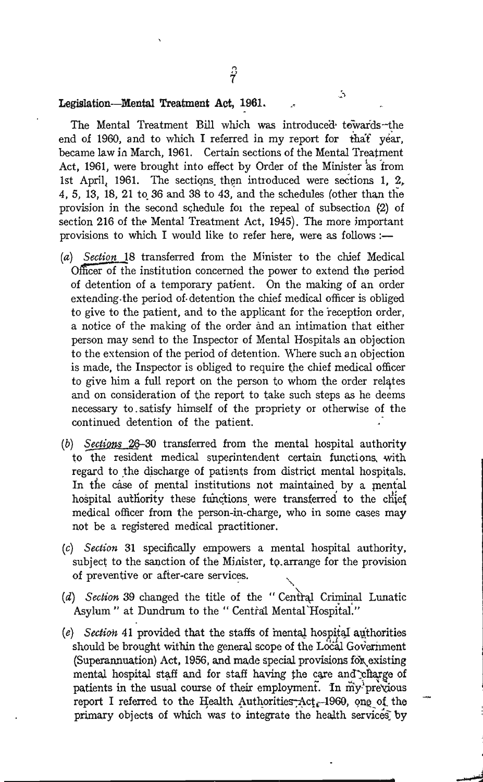#### Legislation-Mental Treatment Act, 1961.

The Mental Treatment Bill which was introduced towards--the end of 1960, and to which I referred in my report for that year, became law in March, 1961. Certain sections of the Mental Treatment Act, 1961, were brought into effect by Order of the Minister as from 1st April, 1961. The sections then introduced were sections 1, 2. 4, 5, 13, 18, 21 to 36 and 38 to 43, and the schedules (other than the provision in the second schedule for the repeal of subsection (2) of section 216 of the Mental Treatment Act, 1945). The more important provisions to which I would like to refer here, were as follows :-

- *(a) Section* 18 transferred from the Minister to the chief Medical Officer of the institution concerned the power to extend the period of detention of a temporary patient. On the making of an order extending. the period of· detention the chief medical officer is obliged to give to the patient, and to the applicant for the reception order, a notice of the making of the order and an intimation that either person may send to the Inspector of Mental Hospitals an objection to the extension of the period of detention. Where such an objection is made, the Inspector is obliged to require the chief medical officer to give him a full report on the person to whom the order relates and on consideration of the report to take such steps as he deems necessary to. satisfy himself of the propriety or otherwise of the continued detention of the patient.
- $(b)$  Sections 26-30 transferred from the mental hospital authority to the resident medical superintendent certain functions. with regard to the discharge of patients from district mental hospitals. In the case of mental institutions not maintained by a mental hospital authority these functions were transferred to the chief medical officer from the person-in-charge, who in some cases may not be a registered medical practitioner.
- *(c) Section* 31 specifically empowers a mental hospital authority, subject to the sanction of the Minister, to arrange for the provision of preventive or after-care services.
- (d) Section 39 changed the title of the "Central Criminal Lunatic Asylum" at Dundrum to the "Central Mental Hospital."
- (e) Section 41 provided that the staffs of mental hospital authorities should be brought within the general scope of the Local Government (Superannuation) Act, 1956, and made special provisions for existing mental hospital staff and for staff having the care and charge of patients in the usual course of their employment. In my previous report I referred to the Health Authorities:  $Act_{r}$ -1960, one of the primary objects of which was to integrate the health services by

**-**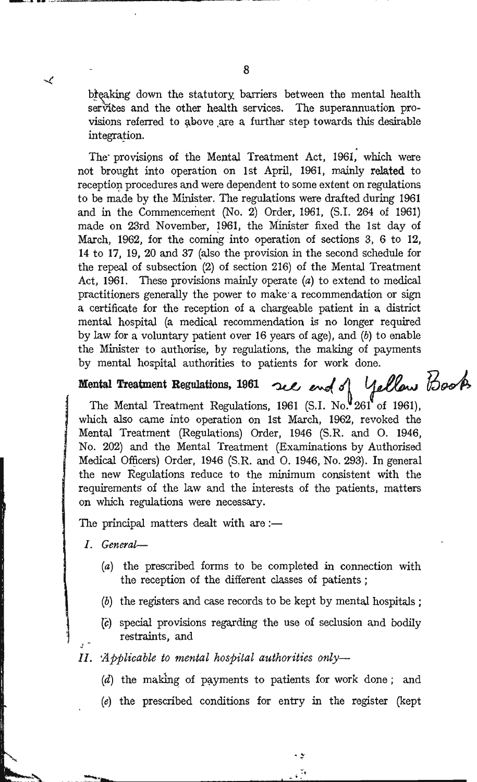breaking down the statutory barriers between the mental health services and the other health services. The superannuation provisions referred to above are a further step towards this desirable integration.

The provisions of the Mental Treatment Act, 1961, which were not brought into operation on 1st April, 1961, mainly related to reception procedures and were dependent to some extent on regulations to be made by the Minister. The regulations were drafted during 1961 and in the Commencement (No. 2) Order, 1961, (S.I. 264 of 1961) made on 23rd November, 1961, the Minister fixed the 1st day of March, 1962, for the coming into operation of sections 3, 6 to 12, 14 to 17, 19, 20 and 37 (also the provision in the second schedule for the repeal of subsection (2) of section 216) of the Mental Treatment Act, 1961. These provisions mainly operate (a) to extend to medical practitioners generally the power to make a recommendation or sign a certificate for the reception of a chargeable patient in a district mental hospital (a medical recommendation is no longer required by law for a voluntary patient over 16 years of age), and  $(b)$  to enable the Minister to authorise, by regulations, the making of payments by mental hospital authorities to patients for work done.

### Mental Treatment Regulations, 1961

views reatment Regulations, 1961 See end of Yellow Book which also came into operation on 1st March, 1962, revoked the Mental Treatment (Regulations) Order, 1946 (S.R. and O. 1946, No. 202) and the Mental Treatment (Examinations by Authorised Medical Officers) Order, 1946 (S.R. and O. 1946, No. 293). In general the new Regulations reduce to the minimum consistent with the requirements of the law and the interests of the patients, matters on which regulations were necessary.

The principal matters dealt with are :-

- I. General-
	- (a) the prescribed forms to be completed in connection with the reception of the different classes of patients;
	- (b) the registers and case records to be kept by mental hospitals;
	- (c) special provisions regarding the use of seclusion and bodily restraints, and
- 

≺

- II. Applicable to mental hospital authorities only-
	- (d) the making of payments to patients for work done; and
	- (e) the prescribed conditions for entry in the register (kept

ی م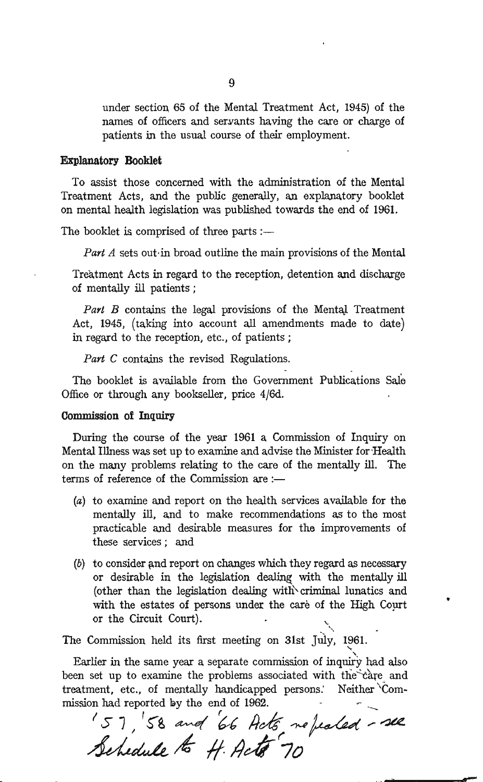under section 65 of the Mental Treatment Act, 1945) of the names of officers and servants having the care or charge of patients in the usual course of their employment.

#### Explanatory Booklet

To assist those concerned with the administration of the Mental Treatment Acts, and the public generally, an explanatory booklet on mental health legislation was published towards the end of 1961.

The booklet is comprised of three parts: $-$ 

Part A sets out in broad outline the main provisions of the Mental

Treatment Acts in regard to the reception, detention and discharge of mentally ill patients;

Part B contains the legal provisions of the Mental Treatment Act, 1945, (taking into account all amendments made to date) in regard to the reception, etc., of patients;

*Part* C contains the revised Regulations.

The booklet is available from the Government Publications Sale Office or through any bookseller, price 4/6d.

#### Commission of Inquiry

During the course of the year 1961 a Commission of Inquiry on Mental Illness was set up to examine and advise the Minister for 'Health on the many problems relating to the care of the mentally ill. The terms of reference of the Commission are :-

- (a) to examine and report on the health services available for the mentally ill, and to make recommendations as to the most practicable and desirable measures for the improvements of these services; and
- $(b)$  to consider and report on changes which they regard as necessary or desirable in the legislation dealing with the mentally ill (other than the legislation dealing with\.criminal lunatics and with the estates of persons under the care of the High Court or the Circuit Court).

".

•

The Commission held its first meeting on 31st July, 1961.

Earlier in the same year a separate commission of inquiry had also been set up to examine the problems associated with the care and treatment, etc., of mentally handicapped persons: Neither "Commission had reported by the end of 1962.

In had reported by the end of 1962.<br> $S$  7,  $S$  *and 66 Acts ne fealed - see* 157, 58 and 66 Acts no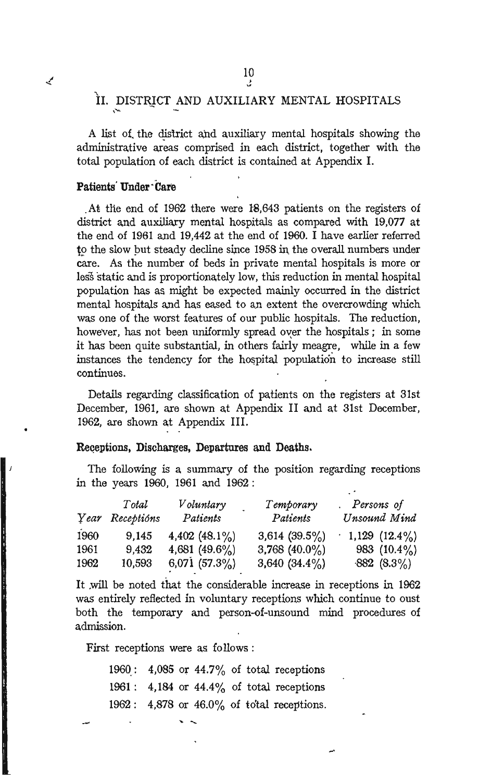# II. DISTRICT AND AUXILIARY MENTAL HOSPITALS

A list of the district and auxiliary mental hospitals showing the administrative areas comprised in each district, together with the total population of each district is contained at Appendix I.

#### Patients' Under' Care

.At tlie end of 1962 there were 18.643 patients on the registers of district and auxiliary mental hospitals as compared with 19.077 at the end of 1961 and 19,442 at the end of 1960. I have earlier referred to the slow but steady decline since 1958 in the overall numbers under care. As the number of beds in private mental hospitals is more or less static and is proportionately low. this reduction in mental hospital population has as might be expected mainly occurred in the district mental hospitals and has eased to an extent the overcrowding which was one of the worst features of our public hospitals. The reduction, however, has not been uniformly spread over the hospitals; in some it has been quite substantial, in others fairly meagre, while in a few instances the tendency for the hospital population to increase still continues.

Details regarding classification of patients on the registers at 31st December, 1961. are shown at Appendix II and at 31st December. 1962. are shown at Appendix III.

#### Receptions, Discharges, Departures and Deaths.

The following is a summary of the position regarding receptions in the years 1960. 1961 and 1962:

|      | Total           | Voluntary        | Temporary        | . Persons of       |
|------|-----------------|------------------|------------------|--------------------|
|      | Year Receptions | Patients         | Patients         | Unsound Mind       |
| 1960 | 9.145           | 4,402 $(48.1\%)$ | 3,614 $(39.5\%)$ | $1,129$ $(12.4\%)$ |
| 1961 | 9.432           | 4,681 $(49.6\%)$ | 3,768 $(40.0\%)$ | 983 $(10.4\%)$     |
| 1962 | 10,593          | 6,071 $(57.3\%)$ | 3,640 $(34.4\%)$ | $-882$ $(8.3\%)$   |

It will be noted that the considerable increase in receptions in 1962 was entirely reflected in voluntary receptions which continue to oust both the temporary and person-of-unsound mind procedures of admission.

First receptions were as follows :

1960: 4,085 or  $44.7\%$  of total receptions 1961: 4,184 or 44.4% of total receptions 1962: 4,878 or 46.0% of total receptions.

and the company of the company of the company of the company of the company of the company of the company of the company of the company of the company of the company of the company of the company of the company of the comp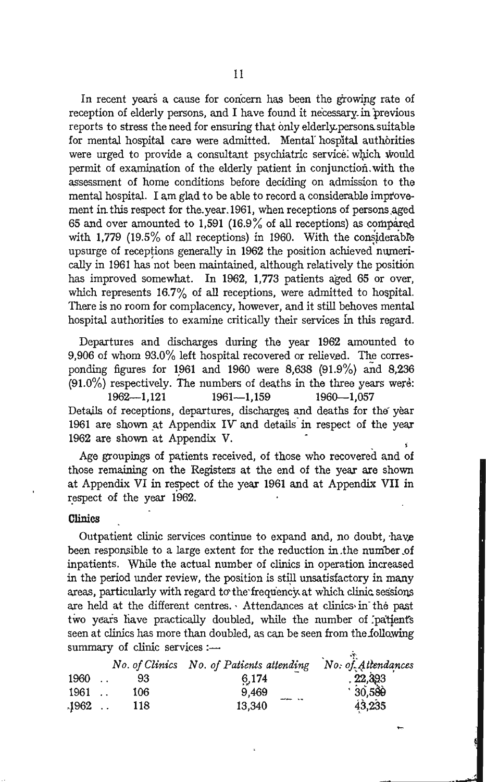In recent years a cause for concern has been the growing rate of reception of elderly persons, and I have found it necessary in previous reports to stress the need for ensuring that onlyelderly-persons-suitable for mental hospital Care were admitted. Mental' hospital authorities were urged to provide a consultant psychiatric service which would permit of examination of the elderly patient in conjunction. with the assessment of home conditions before deciding on admission to the mental hospital. I am glad to be able to record a considerable improvement in this respect for the year. 1961, when receptions of persons aged 65 and over amounted to 1,591 (16.9% of all receptions) as compared with 1,779 (19.5% of all receptions) in 1960. With the considerable upsurge of receptions generally in 1962 the position achieved numerically in 1961 has not been maintained, although relatively the position has improved somewhat. In 1962, 1,773 patients aged 65 or over, which represents  $16.7\%$  of all receptions, were admitted to hospital. There is no room for complacency, however, and it still behoves mental hospital authorities to examine critically their services fn this regard.

Departures and discharges during the year 1962 amounted to 9,906 of whom  $93.0\%$  left hospital recovered or relieved. The corresponding figures for 1961 and 1960 were 8,638 (91.9%) and 8,236  $(91.0\%)$  respectively. The numbers of deaths in the three years were:

1962-1,121 1961-1,159 1960-1,057 Details of receptions, departures, discharges and deaths for the year 1961 are shown at Appendix IV' and details in respect of the year 1962 are shown at Appendix V.

Age groupings of patients received, of those who recovered and of those remaining on the Registers at the end of the year are shown at Appendix VI in respect of the year 1961 and at Appendix VII in respect of the year 1962.

#### **Clinics**

Outpatient clinic services continue to expand and, no doubt, have been responsible to a large extent for the reduction in the number of inpatients. While the actual number of clinics in operation increased in the period under review, the position is still unsatisfactory in many areas, particularly with regard to the frequency at which clinic sessions are held at the different centres. ' Attendances at clinics· in' the past two years have practically doubled, while the number of patients seen at clinics has more than doubled, as can be seen from the following summary of clinic services:- $\mathbf{r}^{\prime}$ 

|         |     | No. of Clinics No. of Patients attending No. of Attendances |         |
|---------|-----|-------------------------------------------------------------|---------|
| 1960    | 93  | 6.174                                                       | .22,393 |
| 1961    | 106 | 9,469                                                       | 30,589  |
| $.1962$ | 118 | 13.340                                                      | 43,235  |

.'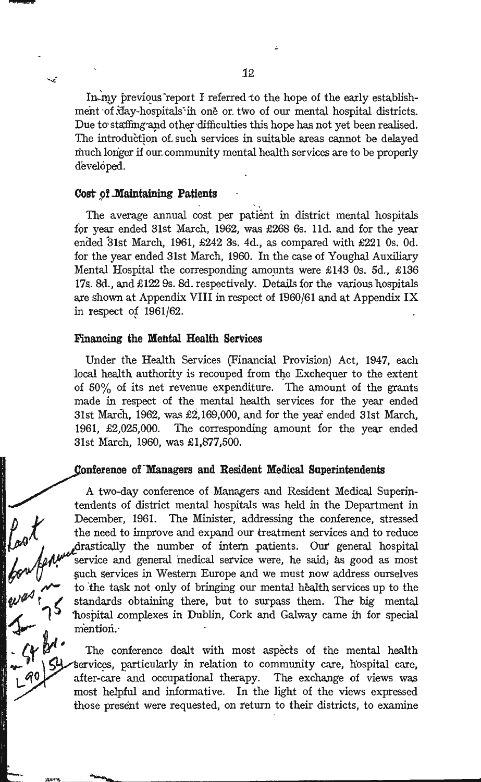In my previous report I referred to the hope of the early establishment of day-hospitals in one or two of our mental hospital districts. Due to staffing and other difficulties this hope has not yet been realised. The introduction of such services in suitable areas cannot be delayed much loriger if our. community mental health services are to be properly developed.

میہ

**Cost of Maintaining Patients**<br>
The average annual cost per patient in district mental hospitals for year ended 31st March, 1962, was £268 6s. 11d. and for the year ended 31st March, 1961, £242 3s. 4d., as compared with £221 0s. 0d. for the year ended 31st March, 1960. In the case of Youghal Auxiliary Mental Hospital the corresponding amounts were  $£143$  Os. 5d.,  $£136$ 17s. 8d., and £122 9s. 8d. respectively. Details for the various hospitals are shown at Appendix VIII in respect of 1960/61 and at Appendix IX in respect of  $1961/62$ .

#### **Financing the Mental Health Services**

/

Under the Health Services (Financial Provision) Act, 1947, each local health authority is recouped from the Exchequer to the extent of 50% of its net revenue expenditure. The amount of the grants made in respect of the mental health services for the year ended 31st March, 1962, was  $\pounds2,169,000$ , and for the year ended 31st March, 1961, £2,025,000. The corresponding amount for the year ended 31st March, 1960, was £1,877,500.

#### nference of "Managers **and Resident Medical Superintendents**

A two-day conference of Managers and Resident Medical Superintendents of district mental hospitals was held in the Department in December, 1961. The Minister, addressing the conference, stressed<br>the need to improve and expand our treatment services and to reduce<br>drastically the number of intern natients. Our general hospital December, 1961. The Minister, addressing the conference, stressed the need to improve and expand our treatment services and to reduce  $\theta^{\mathcal{A}}$  the need to improve and expand our deathern services and to reduce<br>drastically the number of intern patients. Our general hospital<br>service and general medical service were, he said, as good as most<br>such servic service and general medical service were, he said; as good as most §Uch services in Western Europe and we must now address ourselves to the task not only of bringing our mental health services up to the standards obtaining there, but to surpass them. The big mental hospital complexes in Dublin, Cork and Galway came in for special  $\mathcal{I}_{\mathbf{r}}$  is the mention. mention.<br>The conference dealt with most aspects of the mental health

tervices, particularly in relation to community care, hospital care, after-care and occupational therapy. The exchange of views was . most helpful and informative. In the light of the views expressed those present were requested, on return to their districts, to examine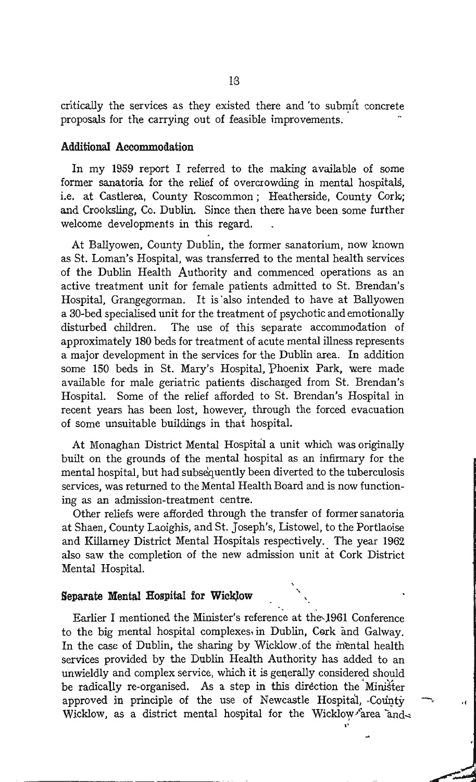critically the services as they existed there and 'to submit concrete proposals for the carrying out of feasible improvements.

#### Additional Accommodation

In my 1959 report I referred to the making available of some former sanatoria for the relief of overcrowding in mental hospitals, i.e. at Castlerea, County Roscommon; Heatherside, County Cork; and Crooksling, Co. Dublin. Since then there have been some further welcome developments in this regard.

At Ballyowen, County Dublin, the former sanatorium, now known as St. Loman's Hospital, was transferred to the mental health services of the Dublin Health Authority and commenced operations as an active treatment unit for female patients admitted to St. Brendan's Hospital, Grangegorman. It is 'also intended to have at Ballyowen a 30-bed specialised unit for the treatment of psychotic and emotionally disturbed children. The use of this separate accommodation of approximately 180 beds for treatment of acute mental illness represents a major development in the services for the Dublin area. In addition some 150 beds in St. Mary's Hospital, Phoenix Park, were made available for male geriatric patients discharged from St. Brendan's Hospital. Some of the relief afforded to St. Brendan's Hospital in recent years has been lost, however, through the forced evacuation of some unsuitable buildings in that hospital.

At Monaghan District Mental Hospital a unit which was originally built on the grounds of the mental hospital as an infirmary for the mental hospital, but had subsequently been diverted to the tuberculosis services, was returned to the Mental Health Board and is now functioning as an admission-treatment centre.

Other reliefs were afforded through the transfer of former sanatoria at Shaen, County Laoighis, and St. Joseph's, Listowel, to the Portlaoise and Killarney District Mental Hospitals respectively. The year 1962 also saw the completion of the new admission unit at Cork District Mental Hospital.

#### Separate Mental Hospital for WickJow '.

Earlier I mentioned the Minister's reference at the-1961 Conference to the big mental hospital complexes in Dublin, Cork and Galway. In the case of Dublin, the sharing by Wicklow.of the in'ental health services provided by the Dublin Health Authority has added to an unwieldly and complex service, which it is generally considered should be radically re-organised. As a step in this direction the Minister approved in principle of the use of Newcastle Hospital, County. Wicklow, as a district mental hospital for the Wicklow farea and..: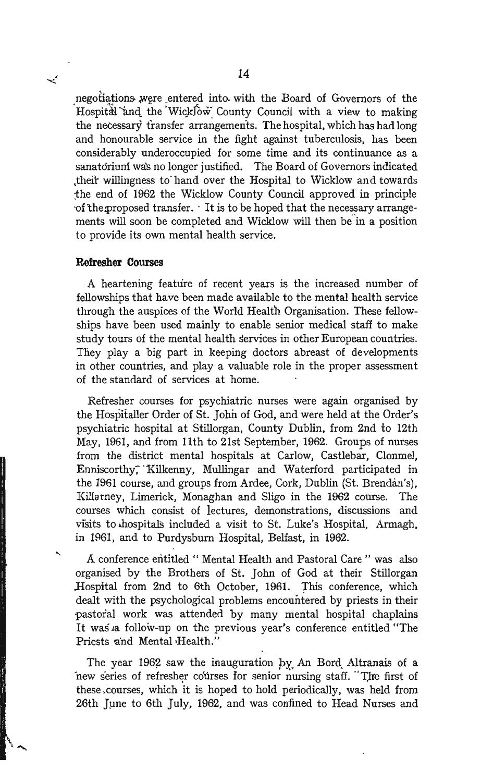negotiations were entered into with the Board of Governors of the Hospital and the WickJow County Council with a view to making the necessary fransfer arrangements. The hospital, which has had long and honourable service in the fight against tuberculosis, has been considerably underoccupied for some time and its continuance as a sanatorium was no longer justified. The Board of Governors indicated .theft willingness to' hand over the Hospital to Wicklow and towards :the end of 1962 the Wicklow County Council approved in principle  $\cdot$ of the: proposed transfer.  $\cdot$  It is to be hoped that the necessary arrangements will soon be completed and Wicklow will then be in a position to provide its own mental health service.

#### **Refresher Courses**

≺′

A heartening feature of recent years is the increased number of fellowships that have been made available to the mental health service through the auspices of the World Health Organisation. These fellowships have been used mainly to enable senior medical staff to make study tours of the mental health services in other European countries. They play a big part in keeping doctors abreast of developments in other countries, and playa valuable role in the proper assessment of the standard of services at home.

Refresher courses for psychiatric nurses were again organised by the Hospitaller Order of St. John of God, and were held at the Order's psychiatric hospital at Stillorgan, County Dublin, from 2nd to 12th May, 1961, and from 11th to 21st September, 1962. Groups of nurses from the district mental hospitals at Carlow, Castlebar, Clonmel, Enniscorthy, Kilkenny, Mullingar and Waterford participated in the ]961 course, and groups from Ardee, Cork, Dublin (St. Brendan's), Killarney, Limerick, Monaghan and Sligo in the 1962 course. The courses which consist of lectures, demonstrations, discussions and visits to hospitals included a visit to St. Luke's Hospital, Armagh, in 1861, and to Purdysbum Hospital, Belfast, in 1962.

A conference entitled " Mental Health and Pastoral Care" was also organised by the Brothers of St. John of God at their Stillorgan Hospital from 2nd to 6th October, 1961. This conference, which dealt with the psychological problems encountered by priests in their 'Pastoral work was attended by many mental hospital chaplains It was a follow-up on the previous year's conference entitled "The Priests and Mental Health."

The year 1962 saw the inauguration by An Bord Altranais of a new series of refresher courses for senior nursing staff. The first of these .courses, which it is hoped to hold periodically, was held from 26th June to 6th July, 1962, and was confined to Head Nurses and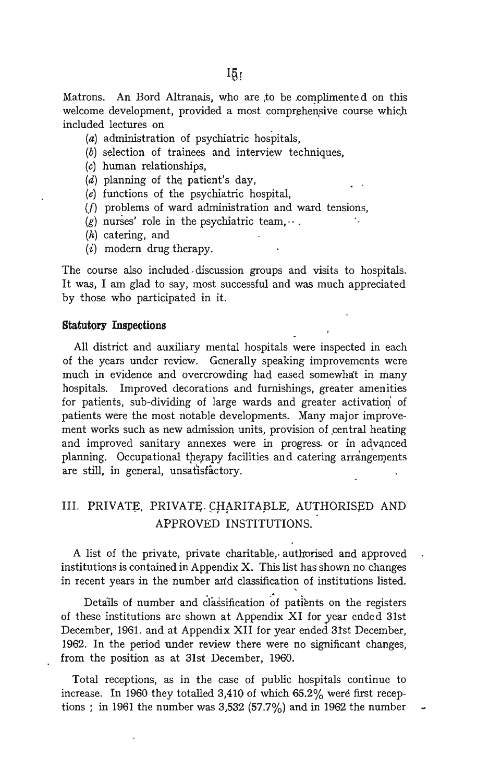Matrons. An Bord Altranais, who are to be complimented on this welcome development, provided a most comprehensive course which included lectures on

- (a) administration of psychiatric hospitals,
- (b) selection of trainees and interview techniques,
- (c) human relationships,
- $(d)$  planning of the patient's day,
- (e) functions of the psychiatric hospital,
- (f) problems of ward administration and ward tensions,
- (g) nurses' role in the psychiatric team,  $\cdots$ .
- (h) catering, and
- $(i)$  modern drug therapy.

The course also included discussion groups and visits to hospitals. It was, I am glad to say, most successful and was much appreciated by those who participated in it.

#### **StatutOry Inspections**

All district and auxiliary mental hospitals were inspected in each of the years under review. Generally speaking improvements were much in evidence and overcrowding had eased somewhat in many hospitals. Improved decorations and furnishings, greater amenities for patients, sub-dividing of large wards and greater activation of patients were the most notable developments. Many major improvement works such as new admission units, provision of central heating and improved sanitary annexes were in progress or in advanced planning. Occupational therapy facilities and catering arrangements are still, in general, unsatisfactory.

# III. PRIVATE, PRIVATE CHARITABLE, AUTHORISED AND APPROVED INSTITUTIONS.

A list of the private, private charitable, authorised and approved institutions is contained in Appendix X. This list has shown no changes in recent years in the number and classification of institutions listed.

Details of number and classification of patients on the registers of these institutions are shown at Appendix XI for year ended 31st December, 1961. and at Appendix XII for year ended 31st December, 1962. In the period under review there were no significant changes, from the position as at 31st December, 1960.

Total receptions, as in the case of public hospitals continue to increase. In 1960 they totalled 3,410 of which  $65.2\%$  were first receptions ; in 1961 the number was  $3,532$   $(57.7%)$  and in 1962 the number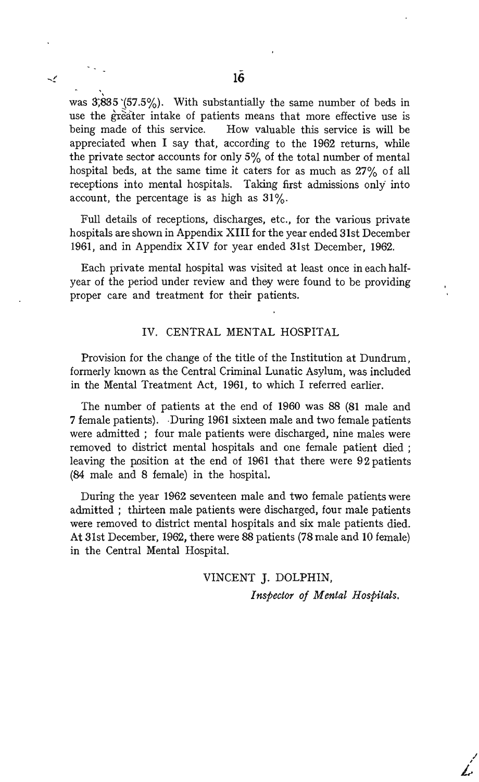was 3;835 '(57.5%). With substantially the same number of beds in use the greater intake of patients means that more effective use is being made of this service. How valuable this service is will be appreciated when I say that, according to the 1962 returns, while the private sector accounts for only  $5\%$  of the total number of mental hospital beds, at the same time it caters for as much as 27% of all receptions into mental hospitals. Taking first admissions only' into account, the percentage is as high as  $31\%$ .

Full details of receptions, discharges, etc., for the various private hospitals are shown in Appendix XIII for the year ended 31st December 1961, and in Appendix XIV for year ended 31st December, 1962.

Each private mental hospital was visited at least once in each halfyear of the period under review and they were found to be providing proper care and treatment for their patients.

#### IV. CENTRAL MENTAL HOSPITAL

Provision for the change of the title of the Institution at Dundrum, formerly known as the Central Criminal Lunatic Asylum, was included in the Mental Treatment Act, 1961, to which I referred earlier.

The number of patients at the end of 1960 was 88 (81 male and 7 female patients). .During 1961 sixteen male and two female patients were admitted; four male patients were discharged, nine males were removed to district mental hospitals and one female patient died ; leaving the position at the end of 1961 that there were 92 patients (84 male and 8 female) in the hospital.

During the year 1962 seventeen male and two female patients were admitted; thirteen male patients were discharged, four male patients were removed to district mental hospitals and six male patients died. At 31st December, 1962, there were 88 patients (78 male and 10 female) in the Central Mental Hospital.

> VINCENT J. DOLPHIN, *Inspector of Mental Hospitals.*

> > I *i.*

 $\tilde{\phantom{a}}$ 

,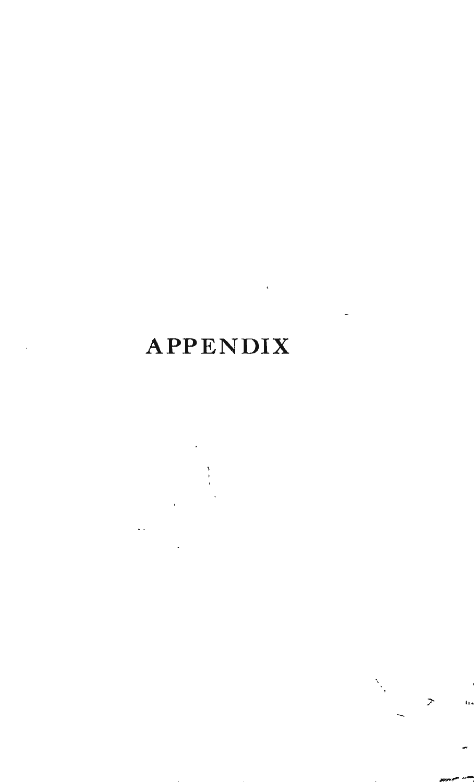# APPENDIX

Z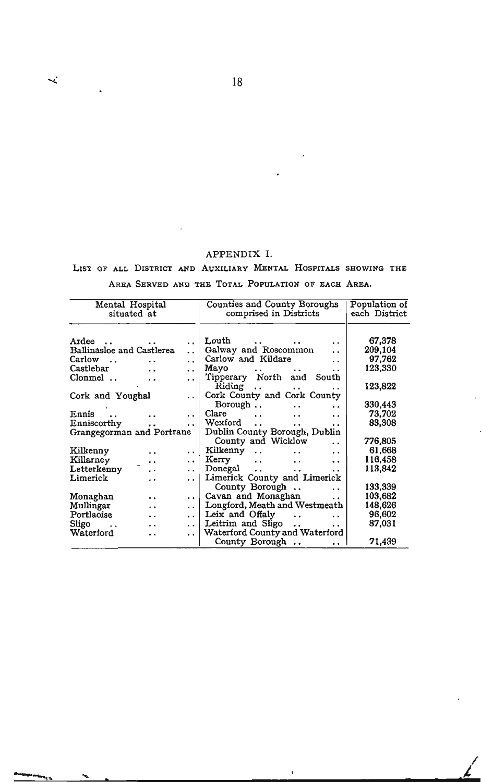#### APPENDIX 1.

#### LIST OF ALL DISTRICT AND AUXILIARY MENTAL HOSPITALS SHOWING THE

#### AREA SERVED AND THE TOTAL POPULATION OF EACH AREA.

| Mental Hospital<br>situated at                    | Counties and County Boroughs<br>comprised in Districts                         | Population of<br>each District |
|---------------------------------------------------|--------------------------------------------------------------------------------|--------------------------------|
| Ardee                                             | Louth<br>$\ddot{\phantom{0}}$<br>$\cdot$ $\cdot$                               | 67,378                         |
| Ballinasloe and Castlerea<br>$\ddot{\phantom{a}}$ | Galway and Roscommon<br>$\ddot{\phantom{0}}$                                   | 209,104                        |
| Carlow<br>$\cdot$ .<br>$\cdot$ .                  | Carlow and Kildare<br>$\ddot{\phantom{0}}$<br>. .                              | 97,762                         |
| Castlebar<br>. .<br>. .                           | Mayo<br>$\cdots$<br>$\cdots$<br>. .                                            | 123,330                        |
| Clonmel<br>$\cdot$ $\cdot$                        | Tipperary North and South<br>$\cdot$ .                                         |                                |
|                                                   | Riding<br>$\ddot{\phantom{0}}$<br>$\ddot{\phantom{0}}$<br>$\ddot{\phantom{0}}$ | 123,822                        |
| Cork and Youghal                                  | Cork County and Cork County<br>$\cdot$ $\cdot$                                 |                                |
|                                                   | Borough<br>. .                                                                 | 330,443                        |
| Ennis                                             | Clare<br>$\ddotsc$<br>$\cdot$ .<br>. .<br>. .                                  | 73,702                         |
| Enniscorthy<br>$\ddot{\phantom{0}}$               | Wexford<br>$\ddot{\phantom{a}}$<br>$\ddotsc$<br>. .<br>. .                     | 83,308                         |
| Grangegorman and Portrane                         | Dublin County Borough, Dublin                                                  |                                |
|                                                   | County and Wicklow<br>$\ddot{\phantom{0}}$                                     | 776,805                        |
| Kilkenny<br>. .                                   | Kilkenny<br>$\cdot$ $\cdot$<br>$\ddot{\phantom{0}}$<br>. .<br>. .              | 61,668                         |
| Killarney<br>. .                                  | Kerry<br>$\cdot$ .<br>$\cdot$ $\cdot$<br>. .<br>. .                            | 116,458                        |
| Letterkenny<br>. .                                | $\rm{Donegal}$<br>$\ddot{\phantom{0}}$<br>. .<br>$\cdot$ .<br>. .              | 113,842                        |
| Limerick<br>$\ddot{\phantom{0}}$                  | Limerick County and Limerick<br>. .                                            |                                |
|                                                   | County Borough<br>$\ddot{\phantom{0}}$                                         | 133,339                        |
| Monaghan                                          | Cavan and Monaghan                                                             | 103,682                        |
| . .<br>Mullingar                                  | $\ddot{\phantom{0}}$<br>. .<br>Longford, Meath and Westmeath                   |                                |
| . .                                               | . .                                                                            | 148,626                        |
| Portlaoise<br>. .                                 | Leix and Offaly<br>$\ddots$<br>$\cdot$ .<br>$\cdot$ $\cdot$                    | 96,602                         |
| Sligo<br>$\cdot$ .<br>. .                         | Leitrim and Sligo<br>$\ddot{\phantom{0}}$<br>. .                               | 87,031                         |
| Waterford<br>. .                                  | Waterford County and Waterford<br>.                                            |                                |
|                                                   | County Borough<br>$\ddot{\phantom{0}}$                                         | 71,439                         |

 $\mathbf{I}$ 

 $\angle$ 

....

 $\prec$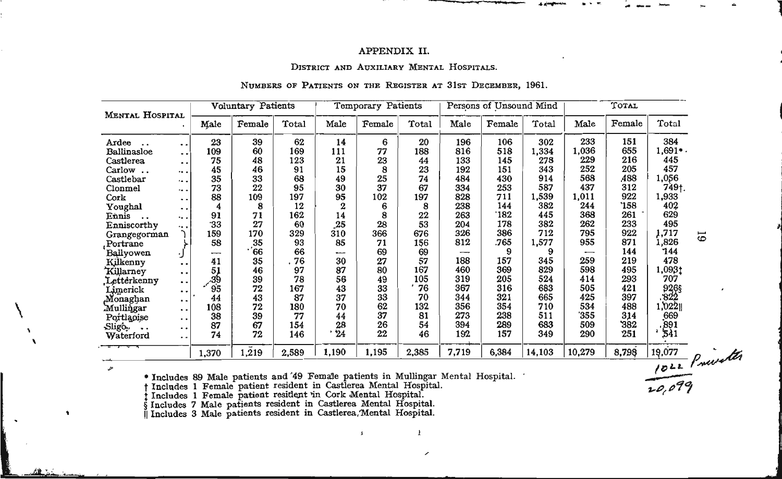#### APPENDIX II.

#### DISTRICT AND AUXILIARY MENTAL HOSPITALS.

#### NUMBERS OF PATIENTS ON THE REGISTER AT 31ST DECEMBER, 1961.

|                       | Voluntary Patients<br><b>MENTAL HOSPITAL</b> |                 |                                                                                  |       |                  | Temporary Patients |       |       | Persons of Unsound Mind |        |        |        |                   |                |
|-----------------------|----------------------------------------------|-----------------|----------------------------------------------------------------------------------|-------|------------------|--------------------|-------|-------|-------------------------|--------|--------|--------|-------------------|----------------|
|                       |                                              | Male            | Female                                                                           | Total | Male             | Female             | Total | Male  | Female                  | Total  | Male   | Female | Total             |                |
| Ardee<br>$\sim$       | . .                                          | 23              | 39                                                                               | 62    | 14               | 6                  | 20    | 196   | 106                     | 302    | 233    | 151    | 384               |                |
| Ballinasloe           | $\ddot{\phantom{1}}$                         | 109             | 60                                                                               | 169   | 111              | 77                 | 188   | 816   | 518                     | 1,334  | 1,036  | 655    | $1,691$ .         |                |
| Castlerea             | . .                                          | 75              | 48                                                                               | 123   | 21               | 23                 | 44    | 133   | 145                     | 278    | 229    | 216    | 445               |                |
| Carlow                |                                              | 45              | 46                                                                               | 91    | 15               |                    | 23    | 192   | 151                     | 343    | 252    | 205    | 457               |                |
| Castlebar             | $\dddot{\bullet}$                            | 35              | 33                                                                               | 68    | 49               | 25                 | 74    | 484   | 430                     | 914    | 568    | A88    | 1,056             |                |
| Clonmel               | $\dddot{\bullet}$                            | 73              | 22                                                                               | 95    | 30               | 37                 | 67    | 334   | 253                     | 587    | 437    | 312    | 749†.             |                |
| $\operatorname{Cork}$ | . .                                          | 88              | 109                                                                              | 197   | 95               | 102                | 197   | 828   | 711                     | 1,539  | 1,011  | 922    | 1,933             |                |
| Youghal               | . .                                          | 4               | 8                                                                                | 12    | $\boldsymbol{2}$ |                    | 8     | 238   | 144                     | 382    | 244    | '158   | 402               |                |
| Ennis<br>$\ddotsc$    | ٠. .                                         | 91              | 71                                                                               | 162   | 14               |                    | 22    | 263   | `182                    | 445    | 368    | 261    | 629               |                |
| Enniscorthy           | ٠. .                                         | -33             | 27                                                                               | 60    | 25               | 28                 | 53    | 204   | 178                     | 382    | 262    | 233    | 495               |                |
| Grangegorman          |                                              | 159             | 170                                                                              | 329   | 310              | 366                | 676   | 326   | 386                     | 712    | 795    | 922    | 1,717             | $\overline{6}$ |
| Portrane              |                                              | 58              | 35                                                                               | 93    | 85               | 71                 | 156   | 812   | .765                    | 1,577  | 955    | 871    | 1,826             |                |
| Ballyowen             | IJ                                           |                 | .66                                                                              | 66    |                  | 69                 | 69    | ---   | 9                       | 9      | --     | 144    | 744               |                |
| Kilkenny              | . .                                          | 41              | 35                                                                               | . 76  | 30               | 27                 | 57    | 188   | 157                     | 345    | 259    | 219    | 478               |                |
| Killarney             | $\ddot{\phantom{1}}$                         |                 | 46                                                                               | 97    | 87               | 80                 | 167   | 460   | 369                     | 829    | 598    | 495    | 1,0931            |                |
| Letterkenny           | $\bullet$ $\bullet$                          | $\frac{51}{39}$ | 39                                                                               | 78    | 56               | 49                 | 105   | 319   | 205                     | 524    | 414    | 293    | 707               |                |
|                       | $\ddot{\phantom{0}}$                         | 95              | 72                                                                               | 167   | 43               | 33                 | '76   | 367   | 316                     | 683    | 505    | 421    | $826$<br>$822$    |                |
| Limerick<br>Monaghan  | $\ddot{\phantom{1}}$                         | 44              | 43                                                                               | 87    | 37               | 33                 | 70    | 344   | 321                     | 665    | 425    | 397    |                   |                |
| Mullingar             | $\ddot{\phantom{1}}$                         | 108             | 72                                                                               | 180   | 70               | 62                 | 132   | 356   | 354                     | 710    | 534    | 488    | 1,022             |                |
| Portlapise            | $\ddot{\phantom{0}}$                         | 38              | 39                                                                               | 77    | 44               | 37                 | 81    | 273   | 238                     | 511    | 355    | 314    | 669               |                |
| $\text{Slig}_2$ .     | . .                                          | 87              | 67                                                                               | 154   | 28               | 26                 | 54    | 394   | 289                     | 683    | 509    | 382    |                   |                |
| Waterford             | $\ddot{\phantom{1}}$                         | 74              | 72                                                                               | 146   | 24               | 22                 | 46    | 192   | 157                     | 349    | 290    | 251    | $\frac{891}{541}$ |                |
|                       |                                              | 1,370           | 1,219                                                                            | 2,589 | 1,190            | 1,195              | 2,385 | 7,719 | 6,384                   | 14,103 | 10,279 | 8,798  |                   |                |
| $\mathcal{P}^a$       |                                              |                 |                                                                                  |       |                  |                    |       |       |                         |        |        |        |                   | 1022 Privates  |
|                       |                                              |                 | * Includes 89 Male patients and 49 Female patients in Mullingar Mental Hospital. |       |                  |                    |       |       |                         |        |        |        |                   |                |
|                       |                                              |                 | Includes 1 Female patient resident in Castlerea Mental Hospital.                 |       |                  |                    |       |       |                         |        |        |        |                   |                |
|                       |                                              |                 | Includes 1 Female patient resident in Cork Mental Hospital.                      |       |                  |                    |       |       |                         |        |        |        |                   |                |

 $\mathbf{1}$ 

• Includes 89 Male patients and 49 Female patients in Mullingar Mental Hospital.<br>† Includes 1 Female patient resident in Castlerea Mental Hospital.<br>† Includes 1 Female patient resident in Cork Mental Hospital.<br>§ Includes 7

 $\pmb{\chi}$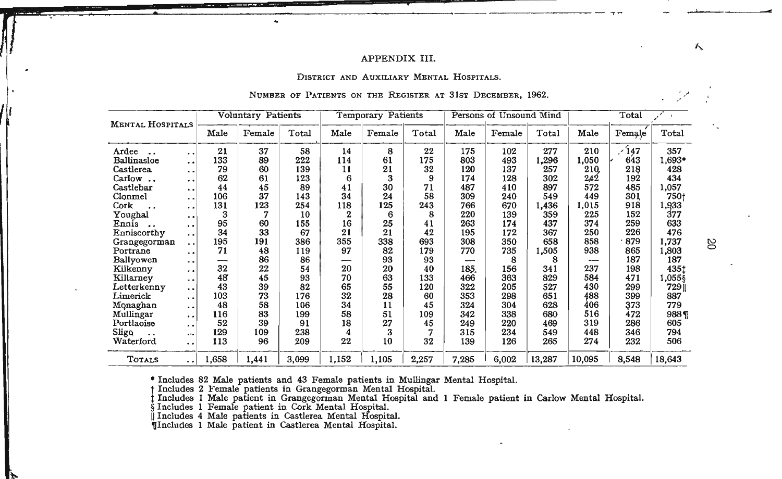#### APPENDIX III.

#### DISTRICT AND AUXILIARY MENTAL HOSPITALS.

#### NUMBER OF PATIENTS ON THE REGISTER AT 31ST DECEMBER, 1962.

| <b>MENTAL HOSPITALS</b>        |                      |       | <b>Voluntary Patients</b> |       |             | Temporary Patients |       |       | Persons of Unsound Mind |        |        | Total  | $\rightarrow$ |
|--------------------------------|----------------------|-------|---------------------------|-------|-------------|--------------------|-------|-------|-------------------------|--------|--------|--------|---------------|
|                                |                      | Male  | Female                    | Total | Male        | Female             | Total | Male  | Female                  | Total  | Male   | Female | Total         |
| Ardee                          | . .                  | 21    | 37                        | 58    | 14          | 8                  | 22    | 175   | 102                     | 277    | 210    | $-147$ | 357           |
| Ballinasloe                    | . .                  | 133   | 89                        | 222   | 114         | 61                 | 175   | 803   | 493                     | 1,296  | 1,050  | 643    | 1,693*        |
| <b>Castlerea</b>               | $\ddot{\phantom{1}}$ | 79    | 60                        | 139   | 11          | 21                 | 32    | 120   | 137                     | 257    | 210    | 218    | 428           |
| Carlow<br>$\ddot{\phantom{a}}$ | $\ddot{\phantom{1}}$ | 62    | 61                        | 123   | 6           | 3                  | 9     | 174   | 128                     | 302    | 242    | 192    | 434           |
| Castlebar                      | . .                  | 44    | 45                        | 89    | 41          | 30                 | 71    | 487   | 410                     | 897    | 572    | 485    | 1,057         |
| Clonmel                        | . .                  | 106   | 37                        | 143   | 34          | 24                 | 58    | 309   | 240                     | 549    | 449    | 301    | 750+          |
| Cork                           | . .                  | 131   | 123                       | 254   | 118         | 125                | 243   | 766   | 670                     | 1,436  | 1,015  | 918    | 1,933         |
| Youghal                        | $\ddot{\phantom{a}}$ | 3     |                           | 10    | $\mathbf 2$ | 6                  | 8     | 220   | 139                     | 359    | 225    | 152    | 377           |
| Ennis<br>$\sim$                | $\ddot{\phantom{1}}$ | 95    | 60                        | 155   | 16          | 25                 | 41    | 263   | 174                     | 437    | 374    | 259    | 633           |
| Enniscorthy                    | . .                  | 34    | 33                        | 67    | 21          | 21                 | 42    | 195   | 172                     | 367    | 250    | 226    | 476           |
| Grangegorman                   | $\ddot{\phantom{1}}$ | 195   | 191                       | 386   | 355         | 338                | 693   | 308   | 350                     | 658    | 858    | 879    | 1,737         |
| Portrane                       | . .                  | 71    | 48                        | 119   | 97          | 82                 | 179   | 770   | 735                     | 1,505  | 938    | 865    | 1,803         |
| Ballyowen                      | . .                  | --    | 86                        | 86    | --          | 93                 | 93    | --    | 8                       | 8      | ---    | 187    | 187           |
| Kilkenny                       | . .                  | 32    | 22                        | 54    | 20          | 20                 | 40    | 185.  | 156                     | 341    | 237    | 198    | 4351          |
| Killarney                      | . .                  | 48    | 45                        | 93    | 70          | 63                 | 133   | 466   | 363                     | 829    | 584    | 471    | 1.055\$       |
| ${\rm Letterken}$ r            | . .                  | 43    | 39                        | 82    | 65          | 55                 | 120   | 322   | 205                     | 527    | 430    | 299    | 729 I         |
| Limerick                       | . .                  | 103   | 73                        | 176   | 32          | 28                 | 60    | 353   | 298                     | 651    | 488    | 399    | 887           |
| Monaghan                       | $\ddot{\phantom{0}}$ | 48    | 58                        | 106   | 34          | 11                 | 45    | 324   | 304                     | 628    | 406    | 373    | 779           |
| Mullingar                      | $\ddot{\phantom{1}}$ | 116   | 83                        | 199   | 58          | 51                 | 109   | 342   | 338                     | 680    | 516    | 472    | 988 T         |
| Portlaoise                     | $\ddot{\phantom{a}}$ | 52    | 39                        | 91    | 18          | 27                 | 45    | 249   | 220                     | 469    | 319    | 286    | 605           |
| Sligo<br>$\ddot{\phantom{0}}$  | ÷÷.                  | 129   | 109                       | 238   | 4           | 3                  |       | 315   | 234                     | 549    | 448    | 346    | 794           |
| Waterford                      | . .                  | 113   | 96                        | 209   | 22          | 10                 | 32    | 139   | 126                     | 265    | 274    | 232    | 506           |
| <b>TOTALS</b>                  | . .                  | 1,658 | 1,441                     | 3,099 | 1,152       | 1,105              | 2,257 | 7,285 | 6,002                   | 13,287 | 10,095 | 8,548  | 18,643        |

• Includes 82 Male patients and 43 Female patients in Mullingar Mental Hospital.<br>† Includes 2 Female patients in Grangegorman Mental Hospital.<br>† Includes 1 Male patient in Grangegorman Mental Hospital and 1 Female patient

g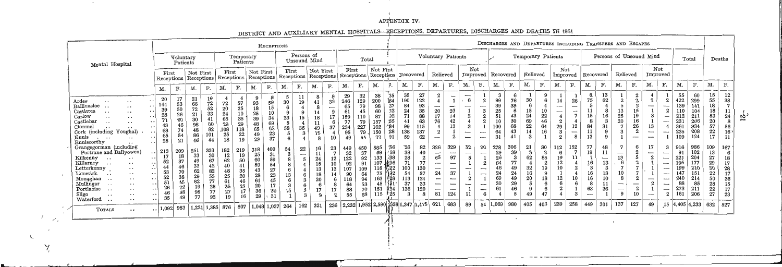#### APPENDIX IV.

 $\sim$ 

 $\sim 10^{-11}$ 

 $\sim$ 

DISTRICT AND AUXILIARY MENTAL HOSPITALS-RECEPTIONS, DEPARTURES, DISCHARGES AND DEATHS IN 1961

|                                                                                                                                                                                                                                                                                                                                                                                                  |                                                                                                                                                                                                        | DIGITTING THIS ISSUED TO A THE COMMISSION OF THE COMMISSION OF THE COMMISSION OF THE COMMISSION OF THE COMMISSION OF THE COMMISSION OF THE COMMISSION OF THE COMMISSION OF THE COMMISSION OF THE COMMISSION OF THE COMMISSION |                                                     |                                                           |                                                           |                                                           |                                                           |                                                           |                     |                                |                                          |                         | DISCHARGES AND DEPARTURES INCLUDING TRANSFERS AND ESCAPES    |                                                            |                                                  |                                                       |                                                             |                                                       |                                                                                                |                                                                                                                                                                                     |                                                                |                                                                               |                                               |                                                    |                                        |                                 |                                                                                                   |                                      |                                                              |                                  |                                                     |                                               |                                          |                                                                                                                                                                         |                                                                  |                                                                          |                                                           |                                                               |
|--------------------------------------------------------------------------------------------------------------------------------------------------------------------------------------------------------------------------------------------------------------------------------------------------------------------------------------------------------------------------------------------------|--------------------------------------------------------------------------------------------------------------------------------------------------------------------------------------------------------|-------------------------------------------------------------------------------------------------------------------------------------------------------------------------------------------------------------------------------|-----------------------------------------------------|-----------------------------------------------------------|-----------------------------------------------------------|-----------------------------------------------------------|-----------------------------------------------------------|-----------------------------------------------------------|---------------------|--------------------------------|------------------------------------------|-------------------------|--------------------------------------------------------------|------------------------------------------------------------|--------------------------------------------------|-------------------------------------------------------|-------------------------------------------------------------|-------------------------------------------------------|------------------------------------------------------------------------------------------------|-------------------------------------------------------------------------------------------------------------------------------------------------------------------------------------|----------------------------------------------------------------|-------------------------------------------------------------------------------|-----------------------------------------------|----------------------------------------------------|----------------------------------------|---------------------------------|---------------------------------------------------------------------------------------------------|--------------------------------------|--------------------------------------------------------------|----------------------------------|-----------------------------------------------------|-----------------------------------------------|------------------------------------------|-------------------------------------------------------------------------------------------------------------------------------------------------------------------------|------------------------------------------------------------------|--------------------------------------------------------------------------|-----------------------------------------------------------|---------------------------------------------------------------|
|                                                                                                                                                                                                                                                                                                                                                                                                  |                                                                                                                                                                                                        |                                                                                                                                                                                                                               | RECEPTIONS                                          |                                                           |                                                           |                                                           |                                                           |                                                           |                     |                                |                                          |                         |                                                              |                                                            |                                                  |                                                       |                                                             |                                                       |                                                                                                |                                                                                                                                                                                     |                                                                |                                                                               |                                               |                                                    |                                        |                                 |                                                                                                   |                                      |                                                              |                                  |                                                     |                                               |                                          |                                                                                                                                                                         |                                                                  |                                                                          |                                                           |                                                               |
| Mental Hospital                                                                                                                                                                                                                                                                                                                                                                                  |                                                                                                                                                                                                        | Voluntary<br>Patients                                                                                                                                                                                                         |                                                     |                                                           |                                                           | Temporary<br>Patients                                     |                                                           |                                                           |                     | Persons of<br>Unsound Mind     |                                          |                         |                                                              |                                                            | Total                                            |                                                       |                                                             |                                                       | Voluntary Patients                                                                             |                                                                                                                                                                                     |                                                                |                                                                               |                                               |                                                    |                                        | Temporary Patients              |                                                                                                   |                                      |                                                              |                                  | Persons of Unsound Mind                             |                                               |                                          |                                                                                                                                                                         |                                                                  | Total                                                                    |                                                           | Deaths                                                        |
|                                                                                                                                                                                                                                                                                                                                                                                                  | First                                                                                                                                                                                                  | Receptions                                                                                                                                                                                                                    | Not First<br>Receptions                             |                                                           | First<br>Receptions                                       |                                                           | Not First<br>Receptions                                   |                                                           | First               |                                | Not First                                | Receptions   Receptions | First                                                        |                                                            | Not First                                        |                                                       | Receptions   Receptions   Recovered                         |                                                       | Relieved                                                                                       |                                                                                                                                                                                     | Not                                                            | Improved                                                                      | Recovered                                     |                                                    | Relieved                               |                                 | Not<br>Improved                                                                                   |                                      | Recovered                                                    |                                  |                                                     | Relieved                                      |                                          | Not<br>Improved                                                                                                                                                         |                                                                  |                                                                          |                                                           |                                                               |
|                                                                                                                                                                                                                                                                                                                                                                                                  | м.                                                                                                                                                                                                     | F.                                                                                                                                                                                                                            | М.                                                  | F.                                                        | М.                                                        | F.                                                        | М.                                                        | F.                                                        | М.                  | F.                             | M.                                       | F.                      | М.                                                           | F.                                                         | M.                                               | л.                                                    | М.                                                          | F.                                                    | М.                                                                                             | F.                                                                                                                                                                                  | M.                                                             | F.                                                                            | М.                                            | F.                                                 | M.                                     | F.                              | М.                                                                                                | F.                                   | M.                                                           | F.                               | М.                                                  | F.                                            | М.                                       | F.                                                                                                                                                                      | M.                                                               | F.                                                                       | М.                                                        | F.                                                            |
| Ardee<br>$\cdot$ .<br>Ballinasloe<br>$\cdot$ $\cdot$<br>Castlerea<br>$\ddot{\phantom{0}}$<br>$\ddotsc$<br>Carlow<br>$\ddot{\phantom{0}}$<br>$\cdot$ $\cdot$<br>Castlebar<br>$\cdot$ .<br>$\cdot$ $\cdot$<br>Clonmel<br>$\cdot$ $\cdot$<br>Cork (including Youghal)<br>$\mathbf{Ennis}$<br>$\cdot$ .<br>Enniscorthy<br>$\cdot$ $\cdot$                                                            | 20<br>144<br>39<br>$\cdot$ $\cdot$ $\cdot$<br>28<br>$\cdot \cdot$<br>71<br>$\cdot \cdot$<br>43<br>68<br>65<br>25<br>$\ddot{\phantom{1}}$                                                               | 17<br>53<br>50<br>60<br>74<br>54<br>21                                                                                                                                                                                        | 21<br>66<br>72<br>21<br>30<br>98<br>48<br>86        | 19<br>72<br>52<br>33<br>60<br>82<br>44                    | 72<br>20<br>24<br>65<br>29<br>108<br>25<br>18             | 57<br>25<br>10<br>35<br>29<br>118<br>22                   | 9<br>93<br>18<br>25<br>39<br>48<br>65<br>49<br>23         | 59<br>15<br>10<br>34<br>69<br>65<br>23<br>37              | 30<br>23<br>58<br>5 | 11<br>19<br>15<br>35           | 8<br>8<br>18<br>49<br>15<br>$\mathbf{R}$ | 33<br>37                | 29<br>246<br>65<br>159<br>77<br>234<br>95<br>49              | 32<br>129<br>79<br>45<br>79<br>227<br>79<br>44             | 38<br>200<br>98<br>87<br>157<br>162<br>150<br>77 | 35<br>164<br>37<br>B5<br>*B4<br>28<br>91              | 35<br>190<br>84<br>24<br>71<br>41<br>99<br>138<br>59        | 27<br>122<br>93<br>35<br>88<br>63<br>115<br>137<br>62 | $\overline{\phantom{a}}$<br>20<br>17<br>76<br>$\boldsymbol{2}$                                 | 23<br>14<br>42<br>13                                                                                                                                                                | $\overline{\phantom{a}}$<br>6<br>$\overline{\phantom{0}}$<br>3 | $\overline{\phantom{a}}$<br>$\overline{\phantom{a}}$                          | 99<br>39<br>25<br>51<br>10<br>100<br>64<br>31 | 6<br>76<br>38<br>8<br>43<br>30<br>68<br>43<br>41   | 30<br>15<br>24<br>69<br>22<br>14<br>3  | 6<br>22<br>46<br>64<br>16       | 14<br>$\overline{\phantom{a}}$<br>$\overline{\phantom{a}}$<br>$\mathbf{2}$<br>29<br>3<br>$\Omega$ | 26<br>$\overline{\phantom{a}}$<br>12 | 8<br>75<br>15<br>84<br>11<br>13                              | 13<br>62<br>16<br>31<br>9        | $\Omega$<br>5<br>13<br>25<br>20<br>7<br>3           | $\Omega$<br>15<br>19<br>16<br>26<br>- 0<br>-- | $\mathbf{2}$<br>--<br>13<br>--           | $\boldsymbol{2}$<br>$\overline{\phantom{a}}$<br>$\overbrace{\phantom{aaaaa}}^{}$<br>4<br>$\cdots$                                                                       | 55<br>422<br>139<br>212<br>231<br>361<br>235<br>109              | 60<br>299<br>141<br>104<br>211<br>206<br>334<br>208<br>124               | 15<br>55<br>18<br>18<br>53<br>20<br>57<br>$22\,$<br>17    | 12<br>38<br>7<br>11<br>24<br>8<br>56<br>16 <sup>1</sup><br>11 |
| Grangegorman (including<br>Portrane and Ballyowen)<br>Kilkenny<br>$\cdots$<br>$\cdot$ $\cdot$<br>Killarney<br>$\cdots$<br>$\cdot$ $\cdot$<br>Letterkenny<br>$\cdot$ .<br>Limerick<br>$\ddot{\phantom{0}}$<br>Monaghan<br>$\cdot$ $\cdot$<br>Mullingar<br>$\cdot$ .<br>Portlaoise<br>$\ddot{\phantom{0}}$<br>$\cdots$<br>Sligo<br>$\sim$ $\sim$<br>$\ddot{\phantom{1}}$<br>Waterford<br>$\cdot$ . | 213<br>$\cdot$ .<br>17<br>52<br>$\ddot{\phantom{0}}$<br>44<br>$\ddot{\phantom{1}}$<br>53<br>$\cdot$ .<br>52<br>51<br>. .<br>26<br>$\ddot{\phantom{0}}$<br>46<br>$\cdots$<br>35<br>$\ddot{\phantom{0}}$ | 209<br>37<br>45<br>22<br>48<br>49                                                                                                                                                                                             | 251<br>33<br>33<br>62<br>29<br>82<br>19<br>98<br>77 | 333<br>30<br>67<br>42<br>82<br>55<br>77<br>26<br>77<br>92 | 182<br>12<br>62<br>40<br>48<br>25<br>61<br>35<br>27<br>19 | 219<br>19<br>50<br>41<br>35<br>20<br>46<br>25<br>17<br>16 | 318<br>25<br>60<br>59<br>43<br>28<br>61<br>20<br>36<br>29 | 400<br>31<br>59<br>54<br>27<br>23<br>45<br>17<br>30<br>31 | 54<br>15            | 22<br>$\overline{\phantom{0}}$ | 16<br>11<br>24<br>18<br>20               | 23<br>10<br>17          | 449<br>32<br>122<br>92<br>107<br>90<br>118<br>64<br>88<br>55 | 450<br>37<br>92<br>91<br>109<br>64<br>94<br>53<br>70<br>68 | 585<br>69<br>133<br>118<br>163<br>151<br>115     | Ъ6<br>168<br>∙B8<br>(≵06<br>.22<br>'28<br>124<br>† 25 | 26<br>38<br>28<br>71<br>100<br>54<br>113<br>37<br>136<br>-3 | 82<br>40<br>77<br>130<br>57<br>124<br>33<br>120       | 326<br>$-\!$<br>65<br>$\overbrace{\phantom{aaaaa}}^{}$<br>24<br>$\overline{\phantom{a}}$<br>81 | 329<br>$\frac{1}{2}$<br>97<br>$\overline{\phantom{a}}$<br>$\overline{\phantom{a}}$<br>37<br>$\overline{\phantom{a}}$<br>$\overline{\phantom{a}}$<br>$\overline{\phantom{a}}$<br>124 | 52<br>5<br>$\overline{\phantom{a}}$<br>$\boldsymbol{2}$<br>11  | 30<br>---<br>$\overline{\phantom{a}}$<br>$\overline{\phantom{a}}$<br>$-\!-\!$ | 278<br>25<br>26<br>84<br>24<br>69<br>30<br>61 | 306<br>39<br>3<br>77<br>49<br>24<br>49<br>29<br>46 | 21<br>-3<br>62<br>32<br>16<br>20<br>49 | 30<br>3<br>85<br>19<br>18<br>47 | 112<br>12<br>12                                                                                   | 152                                  | 77<br>19<br>16<br>16<br>16<br>63<br>$\overline{\phantom{a}}$ | 48<br>11<br>13<br>13<br>10<br>36 | 7<br>13<br>10<br>8<br>$\overline{\phantom{0}}$<br>9 | $\boldsymbol{2}$<br>10                        | 17<br>–<br>-<br>$\overline{\phantom{a}}$ | 3<br>$\overline{\phantom{a}}$<br>$\overline{\phantom{a}}$<br>$\frac{1}{2}$<br>$\overline{\phantom{a}}$<br>$\hspace{0.05cm}$<br>$\overline{\phantom{a}}$<br>$\mathbf{2}$ | 916<br>91<br>221<br>195<br>199<br>147<br>240<br>88<br>273<br>161 | 986<br>102<br>$\frac{204}{177}$<br>210<br>151<br>214<br>85<br>211<br>206 | 109<br>13<br>27<br>29<br>30<br>22<br>50<br>28<br>22<br>27 | 167<br>6<br>18<br>17<br>28<br>17<br>36<br>15<br>17<br>23      |
| <b>TOTALS</b><br>$\cdot$ $\cdot$                                                                                                                                                                                                                                                                                                                                                                 | 1,092<br>$\cdot$ $\cdot$                                                                                                                                                                               | 983                                                                                                                                                                                                                           |                                                     | 1,221 1,385 876                                           |                                                           | 807                                                       |                                                           | $1,048$ 1,037                                             | 264                 | 162                            | 321                                      | 236                     |                                                              |                                                            |                                                  |                                                       | 2,232 1,952 2,590 2558 1,347 1,415                          |                                                       | 621                                                                                            | 683                                                                                                                                                                                 | 89                                                             | 51                                                                            | 1,069                                         | 980                                                | 405                                    | 403                             | 239                                                                                               | 258                                  | 449                                                          | 301                              | 137                                                 | 127                                           | 49                                       |                                                                                                                                                                         |                                                                  | $15 \,  4,405 \,  4,233 $                                                | $632 \mid 527$                                            |                                                               |

 $\mathcal{P}$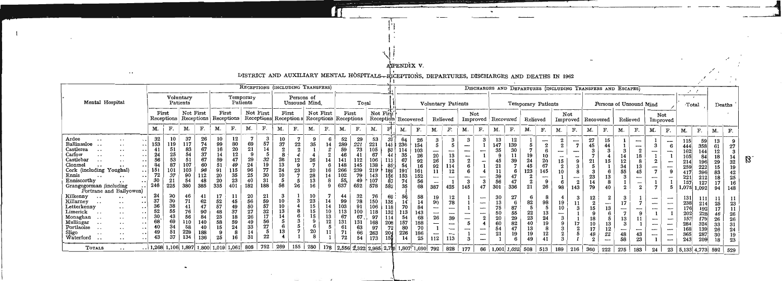# APENDIX V.

DISTRICT AND AUXILIARY MENTAL HOSPITALS-RICEPTIONS, DEPARTURES, DISCHARGES AND DEATHS IN 1962

 $\sim$  .

|                                                                                                                                                                                                                                                                                      | RECEPTIONS (INCLUDING TRANSFERS)                            |                                                      |                                                              |                                                            |                                                     |                                                            |                                                    |                                               |                                                             |                                            |                                        |                                 |                                                                 |                                                         |                                                                  |                                                                   |                                                               |                                                       |                                                                                                           |                                                                                                                      |                                                                     |                                                                                                                                                                      |                                                |                                                             |                                        |                                                                                |                                    |                                                                                                |                                  |                                      |                                            |               |                                                                          |                                                                                                                               |                                                                     |                                                                   |                                                    |                                |
|--------------------------------------------------------------------------------------------------------------------------------------------------------------------------------------------------------------------------------------------------------------------------------------|-------------------------------------------------------------|------------------------------------------------------|--------------------------------------------------------------|------------------------------------------------------------|-----------------------------------------------------|------------------------------------------------------------|----------------------------------------------------|-----------------------------------------------|-------------------------------------------------------------|--------------------------------------------|----------------------------------------|---------------------------------|-----------------------------------------------------------------|---------------------------------------------------------|------------------------------------------------------------------|-------------------------------------------------------------------|---------------------------------------------------------------|-------------------------------------------------------|-----------------------------------------------------------------------------------------------------------|----------------------------------------------------------------------------------------------------------------------|---------------------------------------------------------------------|----------------------------------------------------------------------------------------------------------------------------------------------------------------------|------------------------------------------------|-------------------------------------------------------------|----------------------------------------|--------------------------------------------------------------------------------|------------------------------------|------------------------------------------------------------------------------------------------|----------------------------------|--------------------------------------|--------------------------------------------|---------------|--------------------------------------------------------------------------|-------------------------------------------------------------------------------------------------------------------------------|---------------------------------------------------------------------|-------------------------------------------------------------------|----------------------------------------------------|--------------------------------|
|                                                                                                                                                                                                                                                                                      |                                                             |                                                      |                                                              |                                                            |                                                     |                                                            |                                                    |                                               |                                                             |                                            |                                        |                                 |                                                                 |                                                         |                                                                  |                                                                   |                                                               |                                                       |                                                                                                           |                                                                                                                      |                                                                     |                                                                                                                                                                      |                                                | DISCHARGES AND DEPARTURES (INCLUDING TRANSFERS AND ESCAPES) |                                        |                                                                                |                                    |                                                                                                |                                  |                                      |                                            |               |                                                                          |                                                                                                                               | $\mathcal{L}$                                                       |                                                                   |                                                    |                                |
| Mental Hospital                                                                                                                                                                                                                                                                      |                                                             |                                                      | Voluntary<br>Patients                                        |                                                            |                                                     | Patients                                                   | Temporary                                          |                                               |                                                             | Persons of<br>Unsound Mind                 |                                        |                                 |                                                                 | Total                                                   |                                                                  |                                                                   |                                                               |                                                       | Voluntary Patients                                                                                        |                                                                                                                      |                                                                     |                                                                                                                                                                      |                                                |                                                             |                                        | Temporary Patients                                                             |                                    |                                                                                                |                                  |                                      | Persons of Unsound Mind                    |               |                                                                          |                                                                                                                               |                                                                     | Total                                                             |                                                    | Deaths                         |
|                                                                                                                                                                                                                                                                                      |                                                             | First<br>Receptions                                  | Not First                                                    | Receptions                                                 | First                                               | Receptions                                                 | Not First                                          |                                               | First<br>Receptions Reception s Receptions Receptions       |                                            |                                        | Not First                       |                                                                 | First                                                   |                                                                  | Not First                                                         | Receptions Recovered                                          |                                                       |                                                                                                           | Relieved                                                                                                             |                                                                     | Not<br>Improved                                                                                                                                                      |                                                | Recovered                                                   | Relieved                               |                                                                                | Not<br>Improved                    |                                                                                                | Recovered                        |                                      | Relieved                                   |               |                                                                          | Not<br>Improved                                                                                                               |                                                                     |                                                                   |                                                    |                                |
|                                                                                                                                                                                                                                                                                      | М.                                                          |                                                      | M.                                                           | F.                                                         | M.                                                  | F.                                                         | M.                                                 | F.                                            | M.                                                          | F.                                         | M.                                     | F.                              | M.                                                              |                                                         | M.                                                               |                                                                   | М.                                                            | F.                                                    | М.                                                                                                        | F.                                                                                                                   | М.                                                                  | F.                                                                                                                                                                   | M.                                             | F.                                                          | M.                                     | F.                                                                             | M.                                 | F.                                                                                             | М.                               | F.                                   | M.                                         | F.            | М.                                                                       | F.                                                                                                                            | M.                                                                  | F.                                                                | M.                                                 | F.                             |
| Ardee<br>$\cdot$<br>Ballinasloe<br>$\cdot$ $\cdot$<br>Castlerea<br>$\ddot{\phantom{0}}$<br>$\cdot$ .<br>Carlow<br>$\cdots$<br>Castlebar<br>$\cdot$ .<br>Clonmel<br>$\cdot$<br>Cork (including Youghal)<br>Ennis<br>Enniscorthy<br>Grangegorman (including<br>Portrane and Ballyowen) | 32<br>153<br>41<br>24<br>56<br>84<br>151<br>72<br>30<br>246 | 10<br>119<br>51<br>25<br>53<br>87<br>37<br>21<br>225 | 37<br>117<br>83<br>54<br>51<br>107<br>103<br>90<br>54<br>380 | 26<br>74<br>67<br>37<br>67<br>60<br>96<br>112<br>48<br>385 | 10<br>99<br>16<br>59<br>51<br>91<br>20<br>20<br>335 | 12<br>80<br>20<br>12<br>47<br>49<br>115<br>35<br>23<br>401 | 69<br>21<br>29<br>24<br>96<br>25<br>40<br>182      | 57<br>14<br>32<br>19<br>77<br>30<br>31<br>188 | $\frac{10}{37}$<br>26<br>13<br>24<br>56                     | 22<br>$\bf{2}$<br>12<br>9<br>23<br>7<br>26 | 35<br>26<br>-7<br>20<br>28<br>13<br>16 | 6<br>14<br>$\Omega$<br>16<br>14 | 52<br>289<br>59<br>46<br>141<br>148<br>266<br>102<br>55,<br>637 | 29<br>221<br>73<br>112<br>145<br>239<br>79<br>49<br>652 | 53<br>221<br>105<br>67<br>106<br>138<br>219<br>143<br>107<br>578 | 35<br>145<br>83<br>113<br>$85^{\circ}$<br>189<br>156<br>87<br>582 | 64<br>236<br>114<br>35<br>67<br>54<br>191'<br>153<br>74<br>35 | 26<br>154<br>103<br>92<br>161<br>152<br>56<br>68      | 5<br>20<br>26<br>92<br>11<br>$\overline{\phantom{a}}$<br>$\overline{\phantom{m}}$<br>387                  | 3<br>5<br>13<br>13<br>12<br>$\overline{\phantom{0}}$<br>425                                                          | 3<br>-<br>$\overline{\phantom{a}}$<br>$\mathbf{2}$<br>6<br>3<br>145 | 47                                                                                                                                                                   | 13<br>147<br>35<br>21<br>11<br>39<br>56<br>301 | 12<br>139<br>30<br>39<br>47<br>336                          | 19<br>24<br>45<br>123<br>21            | $\overline{2}$<br>10<br>20<br>67<br>145<br>$\overline{\phantom{a}}$<br>9<br>26 | $\boldsymbol{2}$<br>15<br>10<br>98 | $\overline{\phantom{0}}$<br>$\overline{7}$<br>۔<br>9<br>3<br>8<br>ļ<br>$\boldsymbol{2}$<br>143 | 27<br>45<br>21<br>23<br>14<br>79 | 15<br>44<br>15<br>40                 | 12<br>34<br>55                             | -<br>8<br>45  | —<br>$\overline{\phantom{m}}$                                            | $\overline{\phantom{m}}$<br>$\overline{\phantom{a}}$<br>$\frac{1}{2}$                                                         | 115<br>444<br>162<br>105<br>214<br>259<br>417<br>221<br>157<br>.075 | 59<br>358<br>1441<br>84<br>96<br>222<br>396<br>212<br>127<br>.092 | 61<br>12<br>18<br>29<br>15<br>83<br>18<br>17<br>94 | 27<br>32<br>25<br>16<br>148    |
| Kilkenny<br>. .<br>Killarney<br>$\cdot$ .<br>Letterkenny<br>$\cdot$ .<br>Limerick<br>$\cdot$ $\cdot$<br>Monaghan<br>$\cdots$<br>Mullingar<br>$\ddotsc$<br>Portlaoise<br>$\ddot{\phantom{1}}$<br>$\cdot$ .<br>Sligo<br>Waterford<br>$\ddotsc$<br>$\cdot$ .<br>$\cdots$<br>$\sim$      | 24<br>37<br>36<br>30<br>68<br>49                            | 20<br>30<br>38<br>55<br>43<br>69<br>34<br>51<br>37   | 71<br>41<br>76<br>56<br>58<br>229<br>134                     | 41<br>62<br>47<br>90<br>84<br>40<br>188<br>136             | 17<br>52<br>57<br>48<br>23<br>58<br>25              | 11<br>45<br>49<br>37<br>18<br>59<br>24<br>8<br>16          | 20<br>56<br>50<br>27<br>26<br>49<br>33<br>14<br>31 | 59<br>57<br>32<br>17<br>56<br>27<br>22        | $\begin{smallmatrix} 10 \ 10 \end{smallmatrix}$<br>13<br>13 | 3                                          | 10<br>23<br>15<br>15<br>15<br>20       | 14<br>14<br>10<br>13<br>12      | 44<br>99<br>103<br>l13<br>67<br>131<br>71<br>72                 | 32<br>78<br>91<br>100<br>67<br>131<br>63<br>66<br>54    | 76<br>150<br>106<br>118<br>97<br>168<br>97<br>263<br>173         | 69<br>135<br>118<br>132<br>208<br>72<br>204<br>15 <sub>2</sub>    | 14<br>113<br>54<br>157<br>80<br>226<br>14                     | 58<br>14<br>84<br>143<br>68<br>188<br>70<br>186<br>25 | 19<br>90<br>$\overline{\phantom{a}}$<br>$\overline{\phantom{a}}$<br>26<br>$\overline{\phantom{a}}$<br>112 | 12<br>78<br>$\overline{\phantom{0}}$<br>$\overline{\phantom{0}}$<br>39<br>--<br>ļ<br>$\overline{\phantom{0}}$<br>113 | -<br>$\overline{\phantom{0}}$<br>5                                  | $\overline{\phantom{a}}$<br>$\overline{\phantom{a}}$<br>$\overline{\phantom{a}}$<br>$\overline{\phantom{a}}$<br>$\overline{\phantom{a}}$<br>$\overline{\phantom{m}}$ | 30<br>13<br>75<br>50<br>20<br>60<br>54<br>21   | 27<br>87<br>55<br>29<br>82<br>47<br>19                      | 82<br>22<br>23<br>40<br>13<br>19<br>49 | 98<br>24<br>19<br>12                                                           | 19                                 | 3<br>11<br>3                                                                                   | 12<br>15<br>18<br>48             | ļ<br>13<br>5<br>13<br>12<br>22<br>-- | $\overline{\phantom{0}}$<br>13<br>48<br>58 | ļ<br>43<br>23 | ---<br>$\overline{\phantom{a}}$<br>$\overline{\phantom{a}}$<br>--<br>مسم | $\overline{\phantom{0}}$<br>$\frac{1}{2}$<br>$\overline{\phantom{0}}$<br>$\overline{\phantom{a}}$<br>$\overline{\phantom{a}}$ | 131<br>238 <br>176 <br>202<br>157<br>284<br>168 <br>365<br>243      | 111<br>214<br>228<br>!79<br>324<br>287<br>209                     | 25<br>46<br>26<br>26<br>30                         | 2.5<br>26<br>24<br>19<br>$2^s$ |
| <b>TOTALS</b>                                                                                                                                                                                                                                                                        | $\ldots$ 1,268 1,106 1,897                                  |                                                      |                                                              |                                                            | 1,800 1,019                                         | 1,061                                                      | 808                                                | 752                                           | 269                                                         | 155                                        | 280                                    |                                 |                                                                 |                                                         | 178 2,556 2,322 2,985 2,750 1,807                                |                                                                   |                                                               | $\left[1,690\right]$                                  | 792                                                                                                       | 828                                                                                                                  | 177                                                                 | 66                                                                                                                                                                   |                                                | $1,001$ 1,032 508                                           |                                        | 513                                                                            | 189                                | 216                                                                                            | 360                              | 222                                  | 275                                        | 183           | 24                                                                       | 23                                                                                                                            |                                                                     | 5,133 4,773                                                       | 592 529                                            |                                |

 $\mathcal{B}$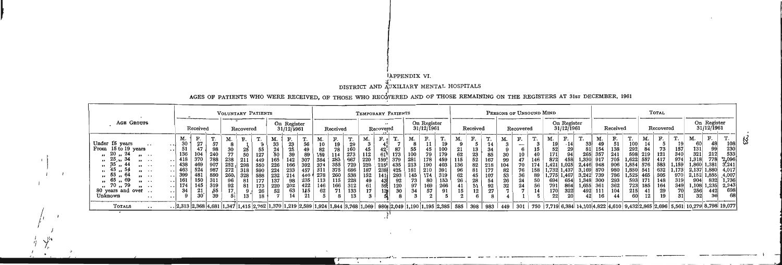### tAPPENDIX VI.

DISTRICT AND AUXILIARY MENTAL HOSPITALS

### AGES OF PATIENTS WHO WERE RECEIVED, OF THOSE WHO RECOVERED AND OF THOSE REMAINING ON THE REGISTERS AT 31st DECEMBER, 1961

 $\mathbf{F}$ 

I I I . M

|  |                                                                                                                                                                                                                                                                                                                              |                                                                                                                                                                                                                                                                                                                                                             | VOLUNTARY PATIENTS                                                                                                                                                                                       |                                                                                                                                                                                                                                          |                                                                                                                                                                                                                                         | TEMPORARY PATIENTS                                                                                                                                                                                     |                                                                                                                                                                                                     |                                                                                                                                                                                       | PERSONS OF UNSOUND MIND                                                                                                                                                                                                                                                                                                                   | TOTAL                                                                                                                                                                                                                                                                                                                                                                                                                                                                                                                                                                                                                                                                                                                                                                                                                                                        |
|--|------------------------------------------------------------------------------------------------------------------------------------------------------------------------------------------------------------------------------------------------------------------------------------------------------------------------------|-------------------------------------------------------------------------------------------------------------------------------------------------------------------------------------------------------------------------------------------------------------------------------------------------------------------------------------------------------------|----------------------------------------------------------------------------------------------------------------------------------------------------------------------------------------------------------|------------------------------------------------------------------------------------------------------------------------------------------------------------------------------------------------------------------------------------------|-----------------------------------------------------------------------------------------------------------------------------------------------------------------------------------------------------------------------------------------|--------------------------------------------------------------------------------------------------------------------------------------------------------------------------------------------------------|-----------------------------------------------------------------------------------------------------------------------------------------------------------------------------------------------------|---------------------------------------------------------------------------------------------------------------------------------------------------------------------------------------|-------------------------------------------------------------------------------------------------------------------------------------------------------------------------------------------------------------------------------------------------------------------------------------------------------------------------------------------|--------------------------------------------------------------------------------------------------------------------------------------------------------------------------------------------------------------------------------------------------------------------------------------------------------------------------------------------------------------------------------------------------------------------------------------------------------------------------------------------------------------------------------------------------------------------------------------------------------------------------------------------------------------------------------------------------------------------------------------------------------------------------------------------------------------------------------------------------------------|
|  | AGE GROUPS                                                                                                                                                                                                                                                                                                                   | Received                                                                                                                                                                                                                                                                                                                                                    | Recovered                                                                                                                                                                                                | On Register<br>31/12/1961                                                                                                                                                                                                                | Received                                                                                                                                                                                                                                | الواقع<br>Recovered                                                                                                                                                                                    | On Register<br>31/12/1961                                                                                                                                                                           | Received                                                                                                                                                                              | On Register<br>31/12/1961<br>Recovered                                                                                                                                                                                                                                                                                                    | On Register<br>31/12/1961<br>Received<br>Recovered                                                                                                                                                                                                                                                                                                                                                                                                                                                                                                                                                                                                                                                                                                                                                                                                           |
|  | Under 15 years<br>$\cdots$<br>From 15 to 19 years<br>20, 24<br>$\cdots$<br>$\frac{1}{12}$ , 25 $\frac{1}{21}$ , 34<br>$\cdots$<br>$35^{\degree}$<br>, 44<br>$\cdots$<br>. . 54<br>- 45<br>$\cdots$<br>55<br>$\cdots$<br>65<br>-69<br>$\cdots$<br>$\frac{1}{20}$ . 79<br>$\cdots$<br>80 years and over<br>Unknown<br>$\cdots$ | М.<br>F.<br>30<br>27<br>57<br>.<br>51<br>47<br>98<br>$\ddot{\phantom{0}}$<br>136<br>240<br>104<br>$\cdot$ 418<br>370<br>788<br>$\cdot$ 438<br>469<br>907<br>463<br>987<br>524<br>$\cdot$ . $\cdot$ .<br>399<br>161<br>880<br>  481<br>$\ddotsc$<br>150<br>311<br>$\cdot$<br>174<br>319<br>145<br>$\cdot$ . I<br>34<br>,55<br>21<br>.<br>30'<br>39<br>$\sim$ | M.<br><b>CONTINUES</b><br>F.<br>л.<br>30<br>25<br>55<br>77<br>50<br>127<br>238<br>211<br>449<br>$252, 298$ 550<br>272<br>$318$ 590<br>260.<br>328 588<br>96<br>81<br>177<br>92<br>81<br>173<br>17,<br>18 | М.<br>$\frac{F}{23}$<br>$rac{1}{56}$<br>33<br>24<br>25<br>49<br>89<br>39<br>307<br>165<br>142<br>226<br>392<br>166<br>457<br>224<br>233<br>232<br>214<br>$-1446$<br>137<br>220<br>98<br>235<br>422<br>202<br>52<br>63<br>145<br>14<br>21 | F.<br>M.<br>10<br>Т.<br>$\frac{19}{78}$<br>29<br>82<br>160<br>159<br>273<br>667<br>114<br>384<br>283<br>374<br>355<br>729<br>375<br>  311<br>686<br>260<br>278<br>538<br>115<br>113<br>228<br>166<br>146<br>312<br>62<br>133<br>8<br>13 | M.<br>112<br>173<br>379<br>611<br>220<br>159 <sup>1</sup><br>435<br>220<br>215!<br>187<br>2381<br>425<br>293<br>152<br>141<br>49<br>43I<br>92<br>120<br>61<br>59.<br>30<br>17<br>13 <sub>3</sub><br>5l | М.<br>.<br>19<br>100<br>179<br>459<br>55<br>100<br>79<br>281<br>178<br>403<br>213<br>190<br>181<br>391<br>$\vert$ 210<br>319<br>145<br>174<br>153<br>266<br>73<br>80<br>97<br>169<br>34<br>91<br>57 | F.<br>М.<br>14<br>13<br>21<br>34<br>62<br>23<br>85<br>52<br>115<br>167<br>136<br>82<br>218<br>96<br>177<br>8<br>62<br>107<br>45<br>26<br>28<br>54<br>92<br>41<br>51<br>15<br>27<br>12 | F.<br>F.<br>M.<br>1.<br>. .<br>$\cdot$ 14<br>19<br>$\hspace{0.05cm}$<br>30<br>$\frac{10}{47}$<br>171<br>458<br>872<br>99<br>146<br>1,025<br>70<br>174<br>104<br>1.421<br>$1,732$ 1,437<br>76<br>158<br>82<br>36<br>1,775 1,467 3,242 739<br>89<br>53<br>24<br>26<br>50<br>694<br>654<br>32<br>24<br>56<br>791<br>864<br>322<br>170 <br>22 | F.<br>M.<br>F.<br>м.<br>M.<br>. .<br>108<br>49<br>14<br>$\frac{51}{138}$<br>33 <sup>1</sup><br>100<br>230<br>99<br>157<br>340<br>$\frac{131}{321}$<br>292<br>84<br>$\frac{73}{121}$<br>154<br>212<br>533<br>598<br>357<br>241<br>265<br>219<br>974<br>778<br>1,318<br>417<br>2,096<br>705<br>1,622 557<br>1,330<br> 917<br>583<br>1,159<br>$1,381$ $3,241$<br>906<br>$ 1,854 $ 576<br>1,860<br>2,446 948<br>632<br>$ 1,880 $ 4,017<br>3,169 870<br>1.173<br>980<br>1,850 541<br>2,137<br>$1,525$ 465<br>505<br>$2,152$ 1,855 4,007<br>786<br>970<br>293<br> 148<br>$832 \mid 1,736$<br>1,348 300<br>593<br>171<br>319<br>904<br>349<br>362<br>723<br>164<br>$1,235$ 2,343<br>1,655 361<br>185<br>1,108<br>104<br>29<br>698<br>256<br>492 111<br>$\begin{array}{c} 442 \\ 36 \end{array}$<br>41<br>12<br>19<br>31<br>68<br>16 <sup>1</sup><br>44<br>60<br>421 |
|  | TOTALS<br>$\cdots$                                                                                                                                                                                                                                                                                                           | . $ 2,313 2,368 4,681 1,347 1,415 2,762 1,370 1,219 2,589 1,924 1,844 3,768 1,069 980$ $ 2,049 1,190 1,195 2,385 585 398 983$                                                                                                                                                                                                                               |                                                                                                                                                                                                          |                                                                                                                                                                                                                                          |                                                                                                                                                                                                                                         |                                                                                                                                                                                                        |                                                                                                                                                                                                     |                                                                                                                                                                                       |                                                                                                                                                                                                                                                                                                                                           | $449$   301   750   7,719 6,384 14,103 4,822 4,610   9,432 2,865 2,696   5,561 10,279 8,798 19,077                                                                                                                                                                                                                                                                                                                                                                                                                                                                                                                                                                                                                                                                                                                                                           |
|  |                                                                                                                                                                                                                                                                                                                              |                                                                                                                                                                                                                                                                                                                                                             |                                                                                                                                                                                                          |                                                                                                                                                                                                                                          |                                                                                                                                                                                                                                         |                                                                                                                                                                                                        |                                                                                                                                                                                                     |                                                                                                                                                                                       |                                                                                                                                                                                                                                                                                                                                           |                                                                                                                                                                                                                                                                                                                                                                                                                                                                                                                                                                                                                                                                                                                                                                                                                                                              |

~

l

**,- ,** ~ .... ... - --,- -, - - ---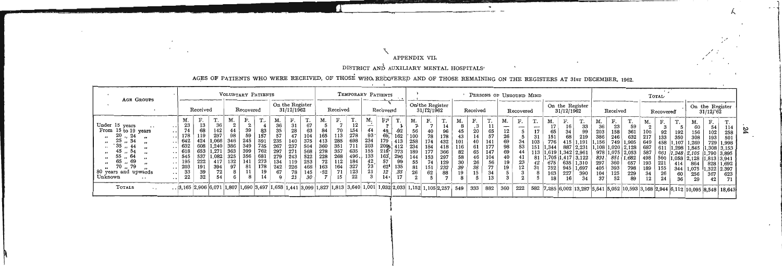### APPENDIX VII.

DISTRICT AND AUXILIARY MENTAL HOSPITALS'

AGES OF PATIENTS WHO WERE RECEIVED, OF THOSE WHO RECOVERED AND OF THOSE REMAINING ON THE REGISTERS AT 31st DECEMBER, 1962.

t

| On the Register<br>On'the Register<br>On the Register<br>On the Register<br>Recovered<br>31/12/1962<br>Received<br>Received<br>Recovered<br>31/12/1962<br>Received<br>31/12/1962<br>Recovered<br>Received<br>31/12/62<br>Recovered<br>F.<br>$\mathbf{r}$<br>F.<br>M.<br>F۴<br>T.<br>M.<br>T.<br>М.<br>F.<br>$\sim$<br>F.<br>М.<br>М.<br>M.<br>F.<br>M.<br>F.<br>$\sim$<br>М.<br>F.<br>F.<br>M.<br>М.<br><b></b><br>. .<br>π.<br><br>67<br>23<br>36<br>$\boldsymbol{2}$<br>36<br>31<br>Under 15 years<br>13<br>14<br>33<br>23<br>36<br>59<br>$\overline{\phantom{a}}$<br>54<br>114<br>$\cdot$ 3<br>$\cdot\cdot\cdot$<br>$\mathbf{1}$<br>83<br>35<br>68<br>39<br>28<br>63<br>$\mathfrak{g}_2$<br>142<br>70<br>74<br>84<br>154<br>From 15 to 19 years<br>44<br>44<br>56<br>40<br>96<br>20<br>12<br>65<br>17<br>65<br>99<br>203<br>34<br>158<br>361<br>156<br>102<br>92<br>192<br>258<br>57<br>297<br>$93 -$<br>278<br>20, 24<br>178<br>98<br>59<br>157<br>113<br>162<br>100<br>104<br>57<br>26<br>31<br>69.<br>151<br>68<br>386<br>219<br>246<br>632<br>133<br>350<br>308<br>193<br>501<br>$\bullet$<br>235<br>698<br>066<br>591<br>375<br>285<br>642<br>245<br>234<br>140<br>179<br>346<br>413<br>424<br>258<br>., 34<br>25<br>40<br>69<br>174<br>776<br>34<br>101<br>432<br>141<br>103<br>1,191<br> 1,156<br>415<br>749<br>.107<br>1,269<br>729<br>-649<br>1.905<br>1.998<br>735<br>267<br>632<br>351<br>203<br>35<br>349<br>237<br>412<br>360<br>386<br>711<br>209%<br>608<br>234<br> 1.240 <br>184<br>61<br>98<br>53<br>116<br>177<br>887 2.231<br>418<br>.344<br>108 1,020 2,128<br>687<br>1,845<br>$1,308$ 3.153<br>611<br>.298<br>$\cdots$<br>762<br>297<br>635<br>155<br>357<br>653<br>399<br>373<br>618<br>363<br>568<br> 1.271 <br>271<br>278<br>189<br>177<br>$218^{\circ}$<br>82<br>65<br>69<br>366<br>147<br>54<br>.619<br>1,342   2,961<br>978 1,075 2,053<br>113<br>587<br>661<br>.790 3.895<br>. 248   2.105<br>.<br>133<br>268<br>496,<br>545<br>296<br>537<br>681<br>522<br>163<br>325<br>-356<br>279<br>228<br>243<br>64<br>.082<br>144<br>153<br>297<br>46<br>58<br>40<br>104<br>.,705   1,417   3,122<br>831<br>851  <br>1,682<br>498<br>560<br>,058   2,128<br> 1,813 3,941<br>$\cdot$ .<br>$\bullet$<br>273<br>42<br>-69<br>195<br>222<br>253<br>112<br>417<br>132<br>141<br>134<br>119<br>72<br>99<br>55<br>19<br>23<br>129<br>30<br>26<br>56<br>42<br>675<br>65<br>$635 \mid 1,310$<br>297<br>360<br>657<br>193<br>221<br>864<br>828<br>1.692<br>414<br>$\cdot$ $\cdot$<br>$53^{\degree}$<br>203<br>178<br>327<br>135<br>191<br>394<br>242<br>164<br>79<br>97<br>81<br>468<br>62 <sup>1</sup><br>226<br>163<br>232<br>151<br>39<br>38<br>12<br>77<br>19<br>31<br>752<br>945<br>393<br>1,697<br>405<br>798<br>155<br>344<br>189<br>1,075<br>$1,322$   2.397<br>$\cdots$<br>$\bullet$<br>33<br>33<br>39<br>123<br>67<br>71<br>12<br>26<br>78<br>.52<br>145<br>80 years and upwards<br>62<br>15<br>19<br>88<br>34<br>163<br>227<br>390<br>104<br>125<br>229<br>26<br>34<br>60<br>256<br>367<br>623<br>$\cdots$<br>Unknown<br>$22\,$<br>32<br>54<br>22<br>21<br>15<br>14<br>30<br>17<br>13<br>52<br>89<br>12 <sup>7</sup><br>34<br>37<br>16<br>24<br>36<br>29<br>42<br>. $ 3,165 2,906 6,071 1,807 1,690 3,497 1,658 1,441 3,099 1,827 1,813 3,640 1,001 1,032 2,033 1,152 1,105 2,257 549 $<br>TOTALS<br>333 882<br>  582   7,285   6,002   13,287   5,541   5,052   10,593   3,168   2,944   6,112   10,095   8,548   18,643 | <b>AGE GROUPS</b> |  | VOLUNTARY PATIENTS |  |  |  |  | TEMPORARY PATIENTS |  |  | PERSONS OF UNSOUND MIND |     |     |  |  |  |  | TOTAL |  |  |
|--------------------------------------------------------------------------------------------------------------------------------------------------------------------------------------------------------------------------------------------------------------------------------------------------------------------------------------------------------------------------------------------------------------------------------------------------------------------------------------------------------------------------------------------------------------------------------------------------------------------------------------------------------------------------------------------------------------------------------------------------------------------------------------------------------------------------------------------------------------------------------------------------------------------------------------------------------------------------------------------------------------------------------------------------------------------------------------------------------------------------------------------------------------------------------------------------------------------------------------------------------------------------------------------------------------------------------------------------------------------------------------------------------------------------------------------------------------------------------------------------------------------------------------------------------------------------------------------------------------------------------------------------------------------------------------------------------------------------------------------------------------------------------------------------------------------------------------------------------------------------------------------------------------------------------------------------------------------------------------------------------------------------------------------------------------------------------------------------------------------------------------------------------------------------------------------------------------------------------------------------------------------------------------------------------------------------------------------------------------------------------------------------------------------------------------------------------------------------------------------------------------------------------------------------------------------------------------------------------------------------------------------------------------------------------------------------------------------------------------------------------------------------------------------------------------------------------------------------------------------------------------------------------------------------------------------------------------------------------------------------------------------------------------------------------------------------------------------------------------------------------------------------------------------------------------------------------------------------------------------------------------------------------------------------------------------------------------------------------------------------------------------------------------------------------------------------|-------------------|--|--------------------|--|--|--|--|--------------------|--|--|-------------------------|-----|-----|--|--|--|--|-------|--|--|
|                                                                                                                                                                                                                                                                                                                                                                                                                                                                                                                                                                                                                                                                                                                                                                                                                                                                                                                                                                                                                                                                                                                                                                                                                                                                                                                                                                                                                                                                                                                                                                                                                                                                                                                                                                                                                                                                                                                                                                                                                                                                                                                                                                                                                                                                                                                                                                                                                                                                                                                                                                                                                                                                                                                                                                                                                                                                                                                                                                                                                                                                                                                                                                                                                                                                                                                                                                                                                                                  |                   |  |                    |  |  |  |  |                    |  |  |                         |     |     |  |  |  |  |       |  |  |
|                                                                                                                                                                                                                                                                                                                                                                                                                                                                                                                                                                                                                                                                                                                                                                                                                                                                                                                                                                                                                                                                                                                                                                                                                                                                                                                                                                                                                                                                                                                                                                                                                                                                                                                                                                                                                                                                                                                                                                                                                                                                                                                                                                                                                                                                                                                                                                                                                                                                                                                                                                                                                                                                                                                                                                                                                                                                                                                                                                                                                                                                                                                                                                                                                                                                                                                                                                                                                                                  |                   |  |                    |  |  |  |  |                    |  |  |                         | 360 | 222 |  |  |  |  |       |  |  |

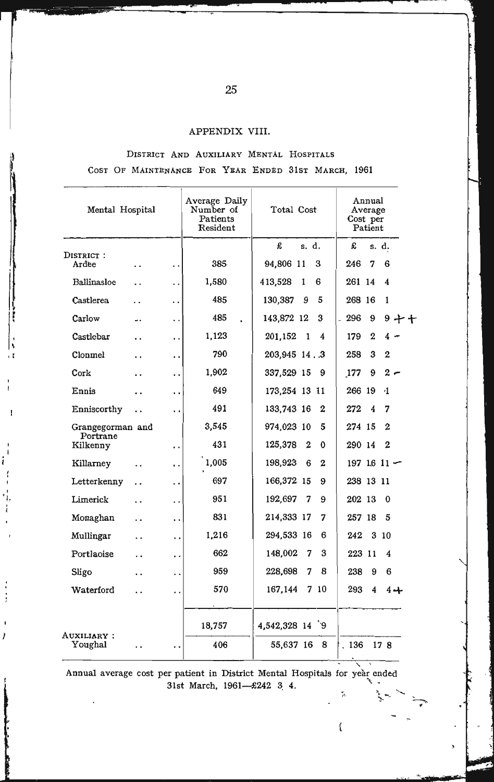#### APPENDIX VIII.

DISTRICT AND AUXILIARY MENTAL HOSPITALS COST OF MAINTENANCE FOR YEAR ENDED 31ST MARCH, 1961

| Mental Hospital               |                                              | Average Daily<br>Number of<br>Patients<br>Resident | Total Cost                       | Annual<br>Average<br>Cost per<br>Patient |
|-------------------------------|----------------------------------------------|----------------------------------------------------|----------------------------------|------------------------------------------|
|                               |                                              |                                                    | £<br>s. d.                       | £<br>s. d.                               |
| DISTRICT:<br>Ardee            | . .<br>. .                                   | 385                                                | 94,806 11<br>3                   | 6<br>246<br>7                            |
| Ballinasloe                   | $\ddot{\phantom{0}}$<br>. .                  | 1,580                                              | 6<br>413,528<br>1                | 261 14<br>4                              |
| Castlerea                     | . .                                          | 485                                                | 130,387<br>9<br>5                | 1<br>268 16                              |
| Carlow                        | u.<br>. .                                    | 485<br>ä.                                          | 3<br>143,872 12                  | 296<br>9<br>$9 + f$                      |
| Castlebar                     | . .<br>. .                                   | 1,123                                              | 201,152<br>1<br>$\boldsymbol{4}$ | 179<br>$\bf{2}$<br>$4 -$                 |
| Clonmel                       | . .<br>. .                                   | 790                                                | 203,945 14.3                     | 3<br>$\boldsymbol{2}$<br>258             |
| Cork                          | . .<br>. .                                   | 1,902                                              | 337,529 15<br>- 9                | 9<br>$2 -$<br>177                        |
| Ennis                         | . .<br>. .                                   | 649                                                | 173,254 13 11                    | 266 19<br>(1)                            |
| Enniscorthy                   | . .<br>. .                                   | 491                                                | 133,743 16<br>$\bf{2}$           | 272<br>4<br>7                            |
| Grangegorman and              |                                              | 3,545                                              | 974,023 10<br>5                  | $\mathbf 2$<br>274 15                    |
| Portrane<br>Kilkenny          | . .                                          | 431                                                | 125,378<br>2<br>0                | $\boldsymbol{2}$<br>290 14               |
| Killarney                     | $\ddot{\phantom{1}}$<br>$\ddot{\phantom{0}}$ | 1,005                                              | 198,923<br>$\boldsymbol{2}$<br>6 | 197 16 11 $-$                            |
| Letterkenny                   | . .<br>$\cdot$ .                             | 697                                                | 166,372 15<br>9                  | 238 13 11                                |
| Limerick                      | . .<br>. .                                   | 951                                                | 192,697<br>9<br>7                | 202 13<br>$\Omega$                       |
| Monaghan                      | . .<br>. .                                   | 831                                                | 214,333 17<br>7                  | 5<br>257 18                              |
| Mullingar                     | $\ddot{\phantom{0}}$<br>. .                  | 1,216                                              | 294,533 16<br>6                  | 242<br>310                               |
| Portlaoise                    | . .<br>. .                                   | 662                                                | 3<br>148,002<br>7                | 223 11<br>4                              |
| Sligo                         | . .<br>. .                                   | 959                                                | 8<br>228,698<br>7                | 238<br>9<br>6                            |
| Waterford                     | . .                                          | 570                                                | 7 10<br>167,144                  | 293<br>4<br>$4 +$                        |
|                               |                                              | 18,757                                             | 4,542,328 14 9                   |                                          |
| <b>AUXILIARY :</b><br>Youghal | . .                                          | 406                                                | 55,637 16<br>8                   | 178<br>. 136                             |

ţ

j i Í

> $\ddot{i}$  $\ddot{\phantom{1}}$

 $\ddot{i}$ 

Ĭ

Annual average cost per patient in District Mental Hospitals for year ended 31st March, 1961-£242 3 4. 下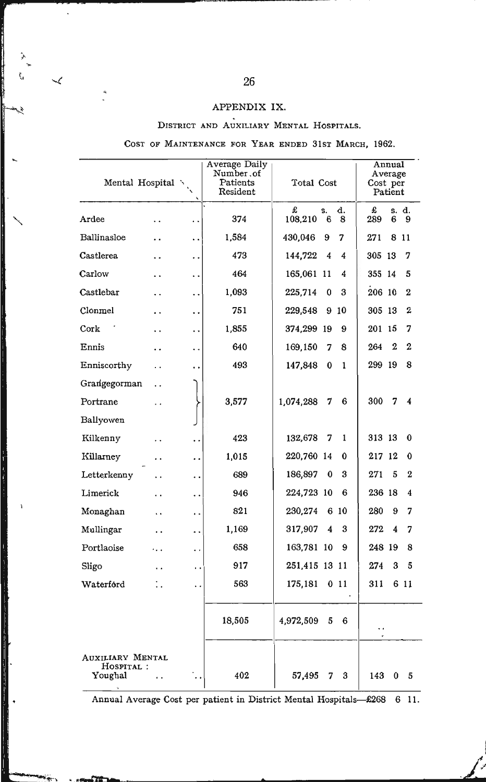# APPENDIX IX.<br>DISTRICT AND AUXILIARY MENTAL HOSPITALS.

#### COST OF MAINTENANCE FOR YEAR ENDED 31ST MARCH, 1962.

| Mental Hospital $\ddot{\ }$                     |     | $\overline{\phantom{a}}$ | Average Daily<br>Number.of<br>Patients<br>Resident | Total Cost    |         |         | Cost per | Annual<br>Average<br>Patient |                |
|-------------------------------------------------|-----|--------------------------|----------------------------------------------------|---------------|---------|---------|----------|------------------------------|----------------|
| Ardee                                           | . . | . .                      | 374                                                | £<br>108,210  | s.<br>6 | d.<br>8 | £<br>289 | 6                            | s. d.<br>9     |
| Ballinasloe                                     |     | . .                      | 1,584                                              | 430,046       | 9       | 7       | 271      | 8                            | -11            |
| Castlerea                                       |     | . .                      | 473                                                | 144,722       | 4       | 4       | 305 13   |                              | 7              |
| Carlow                                          | . . | . .                      | 464                                                | 165,061       | 11      | 4       | 355 14   |                              | 5              |
| Castlebar                                       |     | . .                      | 1,093                                              | 225,714       | 0       | 3       | 206 10   |                              | $\overline{2}$ |
| Clonmel                                         | . . | . .                      | 751                                                | 229,548       | 9       | 10      | 305 13   |                              | $\overline{2}$ |
| Cork                                            | . . | . .                      | 1,855                                              | 374,299 19    |         | 9       | 201 15   |                              | 7              |
| Ennis                                           | . . | . .                      | 640                                                | 169,150       | 7       | 8       | 264      | $\overline{2}$               | $\overline{2}$ |
| Enniscorthy                                     | . . | . .                      | 493                                                | 147,848       | 0       | 1       | 299 19   |                              | 8              |
| Grangegorman                                    | . . |                          |                                                    |               |         |         |          |                              |                |
| Portrane                                        | . . |                          | 3,577                                              | 1,074,288     | 7       | 6       | 300      | 7                            | 4              |
| Ballyowen                                       |     |                          |                                                    |               |         |         |          |                              |                |
| Kilkenny                                        | . . | . .                      | 423                                                | 132,678       | 7       | 1       | 313 13   |                              | 0              |
| Killarney                                       | . . | . .                      | 1,015                                              | 220,760 14    |         | 0       | 217 12   |                              | 0              |
| Letterkenny                                     | . . | . .                      | 689                                                | 186,897       | 0       | 3       | 271      | 5                            | $\bf{2}$       |
| Limerick                                        |     | . .                      | 946                                                | 224,723 10    |         | 6       | 236 18   |                              | 4              |
| Monaghan                                        | . . | . .                      | 821                                                | 230,274       | 6       | 10      | 280      | 9                            | 7              |
| Mullingar                                       | . . | . .                      | 1,169                                              | 317,907       | 4       | 3       | 272      | 4                            | 7              |
| Portlaoise                                      | .   | . .                      | 658                                                | 163,781 10    |         | 9       | 248 19   |                              | 8              |
| Sligo                                           | . . | . .                      | 917                                                | 251,415 13 11 |         |         | 274      | 3                            | 5              |
| Waterford                                       | : . | . .                      | 563                                                | 175,181       |         | 011     | 311      |                              | 6 11           |
|                                                 |     |                          | 18,505                                             | 4,972,509     | 5       | 6       | ٠.       |                              |                |
| <b>AUXILIARY MENTAL</b><br>HOSPITAL:<br>Youghal | . . |                          | 402                                                | 57,495        | 7       | 3       | 143      | 0                            | 5              |

Annual Average Cost per patient in District Mental Hospitals-£268 6 11.

 $\prec$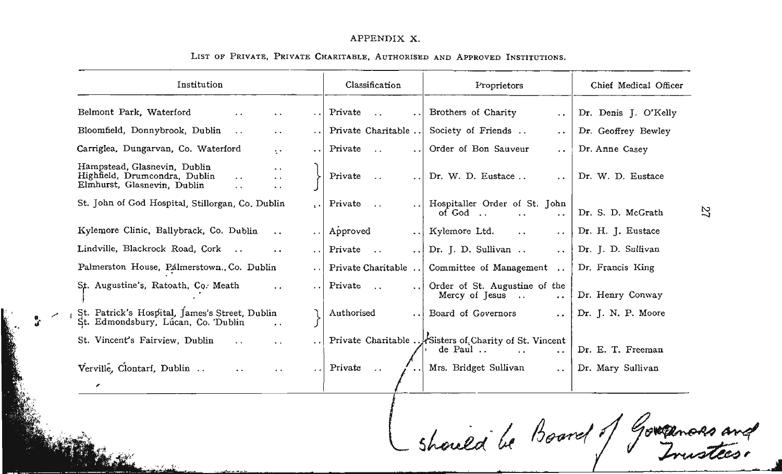#### APPENDIX X.

| Institution                                                                                                                                                                                         |                      | Classification                              | Proprietors                                                                                                     | Chief Medical Officer |
|-----------------------------------------------------------------------------------------------------------------------------------------------------------------------------------------------------|----------------------|---------------------------------------------|-----------------------------------------------------------------------------------------------------------------|-----------------------|
| Belmont Park, Waterford<br>$\ddot{\phantom{0}}$                                                                                                                                                     |                      | Private<br>$\ddots$<br>$\ddot{\phantom{0}}$ | Brothers of Charity<br>$\ddotsc$                                                                                | Dr. Denis J. O'Kelly  |
| Bloomfield, Donnybrook, Dublin<br>$\ddot{\phantom{0}}$<br>$\cdot$ $\cdot$                                                                                                                           |                      | Private Charitable                          | Society of Friends<br>$\ddot{\phantom{0}}$                                                                      | Dr. Geoffrey Bewley   |
| Carriglea, Dungarvan, Co. Waterford<br>÷.                                                                                                                                                           | $\ddot{\phantom{a}}$ | Private<br>$\ddots$<br>$\ddot{\phantom{0}}$ | Order of Bon Sauveur<br>$\ddot{\phantom{1}}$                                                                    | Dr. Anne Casey        |
| Hampstead, Glasnevin, Dublin<br>$\ddot{\phantom{1}}$<br>Highfield, Drumcondra, Dublin<br>$\ddot{\phantom{1}}$<br>$\ddot{\phantom{0}}$<br>Elmhurst, Glasnevin, Dublin<br>. .<br>$\ddot{\phantom{1}}$ |                      | Private<br>$\ddotsc$                        | Dr. W. D. Eustace<br>$\ddot{\phantom{0}}$                                                                       | Dr. W. D. Eustace     |
| St. John of God Hospital, Stillorgan, Co. Dublin                                                                                                                                                    |                      | Private<br>$\cdot$ .                        | Hospitaller Order of St. John<br>of God<br>$\ddot{\phantom{0}}$<br>. .                                          | Dr. S. D. McGrath     |
| Kylemore Clinic, Ballybrack, Co. Dublin<br>$\ddot{\phantom{0}}$                                                                                                                                     | $\ddot{\phantom{0}}$ | Approved<br>$\ddotsc$                       | Kylemore Ltd.<br>$\ddot{\phantom{1}}$<br>$\ddot{\phantom{0}}$                                                   | Dr. H. J. Eustace     |
| Lindville, Blackrock Road, Cork<br>$\cdots$<br>$\ddot{\phantom{0}}$                                                                                                                                 | $\ddot{\phantom{a}}$ | Private<br>$\sim$ .<br>$\ddot{\phantom{0}}$ | Dr. J. D. Sullivan<br>$\cdot$ .                                                                                 | Dr. J. D. Sullivan    |
| Palmerston House, Palmerstown., Co. Dublin                                                                                                                                                          | $\ddot{\phantom{a}}$ | Private Charitable                          | Committee of Management                                                                                         | Dr. Francis King      |
| St. Augustine's, Ratoath, Co. Meath<br>$\ddot{\phantom{0}}$                                                                                                                                         | $\ddot{\phantom{0}}$ | Private<br>$\cdots$                         | Order of St. Augustine of the<br>Mercy of Jesus<br>$\sim$<br>$\ddot{\phantom{0}}$                               | Dr. Henry Conway      |
| St. Patrick's Hospital, James's Street, Dublin<br>St. Edmondsbury, Lúcan, Co. Dublin<br>$\ddot{\phantom{0}}$                                                                                        |                      | Authorised<br>$\ddot{\phantom{0}}$          | Board of Governors<br>$\ddot{\phantom{0}}$                                                                      | Dr. J. N. P. Moore    |
| St. Vincent's Fairview, Dublin<br>$\ddot{\phantom{0}}$<br>$\ddot{\phantom{0}}$                                                                                                                      |                      |                                             | Private Charitable Sisters of Charity of St. Vincent<br>de Paul<br>$\ddot{\phantom{0}}$<br>$\ddot{\phantom{0}}$ | Dr. E. T. Freeman     |
| Verville, Clontari, Dublin<br>$\ddot{\phantom{0}}$<br>$\ddot{\phantom{0}}$                                                                                                                          | . .                  | Private<br>$\ddotsc$                        | Mrs. Bridget Sullivan<br>$\ddot{\phantom{0}}$                                                                   | Dr. Mary Sullivan     |

 $\frac{1}{\sqrt{2}}$ 

#### LIST OF PRIVATE, PRIVATE CHARITABLE, AUTHORISED AND APPROVED INSTITUTIONS.

should be Board of Governors and

N -l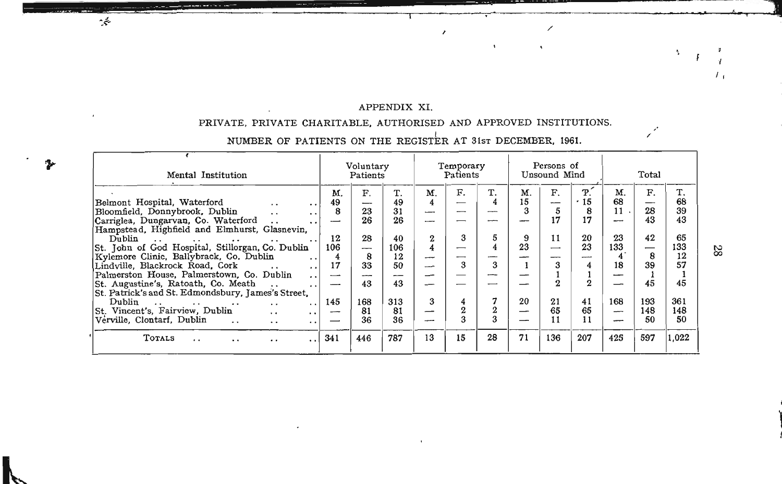#### APPENDIX XI.

 $\mathbb{R}^2$ 

#### PRIVATE, PRIVATE CHARITABLE, AUTHORISED AND APPROVED INSTITUTIONS.

# NUMBER OF PATIENTS ON THE REGISTER AT 31st DECEMBER, 1961.

~

~

| Mental Institution                                                                                                                                                                                                                                                                                                                                                                                                                                                                                                                  |                                       | Voluntary<br>Patients                 |                                               |                                      | Temporary<br>Patients |                        |                     | Persons of<br>Unsound Mind |                                              |                                            | Total                      |                                               |
|-------------------------------------------------------------------------------------------------------------------------------------------------------------------------------------------------------------------------------------------------------------------------------------------------------------------------------------------------------------------------------------------------------------------------------------------------------------------------------------------------------------------------------------|---------------------------------------|---------------------------------------|-----------------------------------------------|--------------------------------------|-----------------------|------------------------|---------------------|----------------------------|----------------------------------------------|--------------------------------------------|----------------------------|-----------------------------------------------|
| Belmont Hospital, Waterford<br>$\cdot$ .<br>. .<br>Bloomfield, Donnybrook, Dublin<br>$\cdot$ .<br>$\ddot{\phantom{0}}$<br>Carriglea, Dungarvan, Co. Waterford<br>Hampstead, Highfield and Elmhurst, Glasnevin,<br>Dublin<br>$\mathbf{r}$ and $\mathbf{r}$ are a set of $\mathbf{r}$ and $\mathbf{r}$<br>$\cdot$ .<br>$\ddot{\phantom{0}}$<br>St. John of God Hospital, Stillorgan, Co. Dublin<br>Kylemore Clinic, Ballybrack, Co, Dublin<br>$\ddot{\phantom{0}}$<br>Lindville, Blackrock Road, Cork<br>$\cdot$ .<br>$\cdot$ $\cdot$ | M.<br>49<br>8<br>12<br>106<br>4<br>17 | F.<br>23<br>26<br>28<br>--<br>8<br>33 | T.<br>49<br>31<br>26<br>40<br>106<br>12<br>50 | M.<br>--<br>--<br>2<br>4<br>--<br>-- | F.<br>--<br>3<br>3    | T.<br>ومسرسه<br>5<br>3 | M.<br>15<br>9<br>23 | F.<br>--<br>17<br>11       | $\mathbf{P}$ .<br>.15<br>8<br>17<br>20<br>23 | M.<br>68<br>$11$ .<br>23<br>133<br>4<br>18 | F.<br>28<br>43<br>42<br>39 | T.<br>68<br>39<br>43<br>65<br>133<br>12<br>57 |
| Palmerston House, Palmerstown, Co. Dublin<br>$\cdot$ .<br>St. Augustine's, Ratoath, Co. Meath<br>$\ddot{\phantom{0}}$<br>St. Patrick's and St. Edmondsbury, James's Street,                                                                                                                                                                                                                                                                                                                                                         |                                       | ---<br>43                             | —<br>43                                       | j                                    |                       |                        |                     |                            | $\Omega$                                     |                                            | 45                         | 45                                            |
| Dublin<br>$\sim$ $\sim$<br>$\cdot$ .<br>$\cdot$ .<br>$\cdot$ $\cdot$<br>St. Vincent's, Fairview, Dublin<br>$\cdot$ .<br>$\ddot{\phantom{0}}$<br>Verville, Clontarf, Dublin<br>$\ddot{\phantom{0}}$<br>. .                                                                                                                                                                                                                                                                                                                           | 145<br>--                             | 168<br>81<br>36                       | 313<br>81<br>36                               | 3<br>—                               | $\overline{2}$        | 7<br>2<br>3            | 20                  | 21<br>65                   | 41<br>65<br>11                               | 168<br>$\overline{\phantom{a}}$            | 193<br>148<br>50           | 361<br>148<br>50                              |
| TOTALS<br>. .<br>$\ddot{\phantom{0}}$<br>. .                                                                                                                                                                                                                                                                                                                                                                                                                                                                                        | 341                                   | 446                                   | 787                                           | 13                                   | 15                    | 28                     | 71                  | 136                        | 207                                          | 425                                        | 597                        | 1.022                                         |

 $\rm 28$ 

, 1999, 1999, 1999, 1999, 1999, 1999, 1999, 1999, 1999, 1999, 1999, 1999, 1999, 1999, 1999, 1999, 1999, 1999, 1

~

 $\overline{I}$ .

 $\mathbf{r}_i$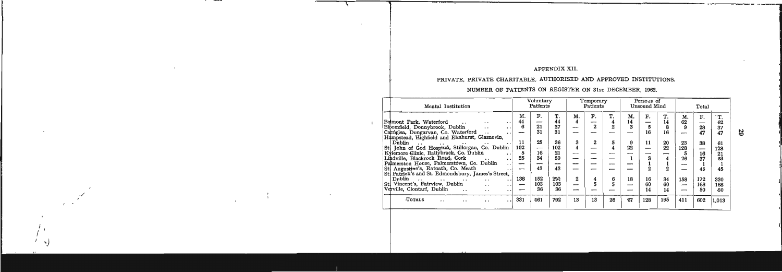#### APPENDIX XII.

 $\mathbf{L}$  $\mathbf{L}$ 

# PRIVATE, PRIVATE CHARITABLE, AUTHORISED AND APPROVED INSTITUTIONS.

## NUMBER OF PATIENTS ON REGISTER ON 31sr DECEMBER, 1962.

| Mental Institution                                                                                                                                                                                                                                                                                                                                                                                                                                                                                                                                                                                                                                                                                                                                                                                                                                                                                         |                                                    | Voluntary<br>Patients                                                     |                                                                         |                                               | Temporary<br>Patients                   |                                         |                                | Persous of<br>Unsound Mind                 |                                                   |                                                           | Total                                                            |                                                                                    |
|------------------------------------------------------------------------------------------------------------------------------------------------------------------------------------------------------------------------------------------------------------------------------------------------------------------------------------------------------------------------------------------------------------------------------------------------------------------------------------------------------------------------------------------------------------------------------------------------------------------------------------------------------------------------------------------------------------------------------------------------------------------------------------------------------------------------------------------------------------------------------------------------------------|----------------------------------------------------|---------------------------------------------------------------------------|-------------------------------------------------------------------------|-----------------------------------------------|-----------------------------------------|-----------------------------------------|--------------------------------|--------------------------------------------|---------------------------------------------------|-----------------------------------------------------------|------------------------------------------------------------------|------------------------------------------------------------------------------------|
| Belmont Park, Waterford<br>. .<br>Bloomfield, Donnybrook, Dublin<br>$\ddot{\phantom{0}}$<br>. .<br>Carriglea, Dungarvan, Co. Waterford<br>$\cdot$ .<br>Hampstead, Highfield and Elmhurst, Glasnevin,<br>Dublin<br>$\sim$ $\sim$<br>$\ddotsc$<br>$\cdot$ $\cdot$<br>$\ddot{\phantom{1}}$<br>St. John of God Hospital, Stillorgan, Co. Dublin<br>Kylemore Glinic, Ballybrack, Co. Dublin<br>. .<br>Lindville, Blackrock Road, Cork<br>$\cdot$ .<br>$\ddot{\phantom{0}}$<br>Palmerston House, Palmerstown, Co. Dublin<br>$\ddot{\phantom{0}}$<br>St. Augustine's, Ratoath, Co. Meath<br>$\ddot{\phantom{0}}$<br>St. Patrick's and St. Edmondsbury, James's Street,<br>Dublin<br>$\sim$<br>$\sim$ $\sim$<br>$\cdot$ $\cdot$<br>$\cdot$ .<br>$\ddot{\phantom{0}}$<br>St. Vincent's, Fairview, Dublin<br>$\cdot$ $\cdot$<br>$\cdot$ $\cdot$<br>Verville, Clontarf, Dublin<br>$\cdot$ .<br>$\cdot$ $\cdot$<br>. . | M.<br>44<br>6<br>11<br>102<br>5<br>25<br>--<br>138 | F.<br>–<br>21<br>31<br>25<br>-<br>16<br>34<br>-<br>43<br>152<br>103<br>36 | 44<br>27<br>31<br>36<br>102<br>21<br>59<br>--<br>43<br>290<br>103<br>36 | M.<br>4<br>3<br>4<br>--<br>--<br>--<br>2<br>— | F.<br>-<br>$\boldsymbol{2}$<br>$\bf{2}$ | T.<br>4<br>$\bf{2}$<br>5<br>4<br>6<br>5 | М.<br>14<br>3<br>9<br>22<br>18 | F.<br>5<br>16<br>11<br>я<br>16<br>60<br>14 | Т.<br>14<br>8<br>16<br>20<br>22<br>34<br>60<br>14 | М.<br>62<br>9<br>--<br>23<br>128<br>5<br>26<br>158<br>--- | F.<br>28<br>47<br>38<br>--<br>16<br>37<br>45<br>172<br>168<br>50 | $\mathbf{T}$<br>62<br>37<br>47<br>61<br>128<br>21<br>63<br>45<br>330<br>168<br>-50 |
| TOTALS<br>. .<br>. .                                                                                                                                                                                                                                                                                                                                                                                                                                                                                                                                                                                                                                                                                                                                                                                                                                                                                       | 331                                                | 461                                                                       | 792                                                                     | 13                                            | 13                                      | 26                                      | 67                             | 128                                        | 195                                               | 411                                                       | 602                                                              | 1,013                                                                              |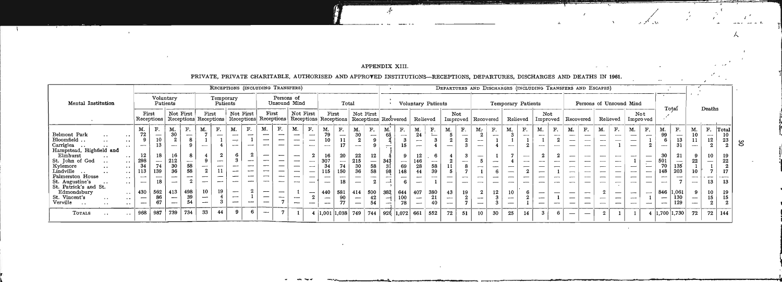t

 $\sim$ 

 $\frac{1}{\sqrt{2}}$ 

 $\mathbf{L}$ 

 $\mathfrak{S}$ 

ı.

#### APPENDIX XIII.

 $\mathcal{L}$ 

#### PRIVATE PRIVATE CHARITABLE, AUTHORISED AND APPROVED INSTITUTIONS. PECEPTIONS, DEPARTURES, DISCHARGES AND DEATHS IN 1961.

"

 $\lambda$  .

.'

|                                                                                                                                                                                                                                                                                                                                                                                                                                                                                                                                                              |                                                                              |                                                             |                              |                                    |                                                                  |                       |                                                               |                                      | RECEPTIONS (INCLUDING TRANSFERS)                     |                                                                                                                                                     |                                                                                                                                                                                                                                  |                                                                                      |                                                                                         |                                                                                                  |                                    |                                                               |                                    |                                                                      |                                                 |                                                                          |                                             |                                                                           |                                                                              |                           |                    |                                      |                                |    | DEPARTURES AND DISCHARGES (INCLUDING TRANSFERS AND ESCAPES)                    |                                                      |                                                    |    |                                                       |                                                                                                                                    |                                                                                                        |                                              |                                      |                                                                                             |                                                    |
|--------------------------------------------------------------------------------------------------------------------------------------------------------------------------------------------------------------------------------------------------------------------------------------------------------------------------------------------------------------------------------------------------------------------------------------------------------------------------------------------------------------------------------------------------------------|------------------------------------------------------------------------------|-------------------------------------------------------------|------------------------------|------------------------------------|------------------------------------------------------------------|-----------------------|---------------------------------------------------------------|--------------------------------------|------------------------------------------------------|-----------------------------------------------------------------------------------------------------------------------------------------------------|----------------------------------------------------------------------------------------------------------------------------------------------------------------------------------------------------------------------------------|--------------------------------------------------------------------------------------|-----------------------------------------------------------------------------------------|--------------------------------------------------------------------------------------------------|------------------------------------|---------------------------------------------------------------|------------------------------------|----------------------------------------------------------------------|-------------------------------------------------|--------------------------------------------------------------------------|---------------------------------------------|---------------------------------------------------------------------------|------------------------------------------------------------------------------|---------------------------|--------------------|--------------------------------------|--------------------------------|----|--------------------------------------------------------------------------------|------------------------------------------------------|----------------------------------------------------|----|-------------------------------------------------------|------------------------------------------------------------------------------------------------------------------------------------|--------------------------------------------------------------------------------------------------------|----------------------------------------------|--------------------------------------|---------------------------------------------------------------------------------------------|----------------------------------------------------|
| Mental Institution                                                                                                                                                                                                                                                                                                                                                                                                                                                                                                                                           |                                                                              |                                                             | Voluntary<br>Patients        |                                    |                                                                  | Temporary<br>Patients |                                                               |                                      |                                                      | Persons of                                                                                                                                          | Unsound Mind                                                                                                                                                                                                                     |                                                                                      |                                                                                         | Total                                                                                            |                                    |                                                               |                                    |                                                                      | Voluntary Patients                              |                                                                          |                                             |                                                                           |                                                                              |                           | Temporary Patients |                                      |                                |    |                                                                                |                                                      | Persons of Unsound Mind                            |    |                                                       |                                                                                                                                    | Total                                                                                                  |                                              |                                      | Deaths                                                                                      |                                                    |
|                                                                                                                                                                                                                                                                                                                                                                                                                                                                                                                                                              |                                                                              | First<br>Receptions                                         |                              | Not First<br>Receptions Receptions |                                                                  | First                 |                                                               | Not First                            | First<br>Receptions Receptions                       |                                                                                                                                                     | Not First                                                                                                                                                                                                                        | Receptions Receptions Receptions Recovered                                           | First                                                                                   |                                                                                                  | Not First                          |                                                               |                                    |                                                                      | Relieved                                        |                                                                          | Not                                         |                                                                           | Improved   Recovered                                                         |                           | Relieved           |                                      | Not<br>Improved                |    | Recovered                                                                      |                                                      | Relieved                                           |    | Not<br>Improved                                       |                                                                                                                                    |                                                                                                        |                                              |                                      |                                                                                             |                                                    |
| Belmont Park<br>$\sim$ $\sim$<br>$\cdot$ $\cdot$<br>Bloomfield<br>$\sim$ $\sim$<br>$\cdots$<br>Carriglea<br>$\cdots$<br>Hampstead, Highfield and<br>Elmhurst<br>$\ddot{\phantom{1}}$<br>St. John of God<br>$\bullet$ $\bullet$<br>$\cdots$<br>Kylemore<br>$\cdots$<br>$\cdots$<br>Lindville<br>$\ddotsc$<br>$\ddot{\phantom{0}}$<br>Palmerston House<br>$\ddot{\phantom{1}}$<br>St. Augustine's<br>$\cdots$<br>St. Patrick's and St.<br>Edmondsbury<br>$\sim$ $\sim$<br>St. Vincent's<br>$\cdot$<br>$\cdot$<br>Verville<br>$\cdot$ .<br>$\ddot{\phantom{1}}$ | M.<br>72<br>12<br>298<br>34<br>113<br>$-$<br>$\overline{\phantom{m}}$<br>430 | F.<br>10 <sub>1</sub><br>13<br>18<br>139<br>18<br>562<br>86 | М.<br>30<br>212<br>36<br>413 | F.<br>58<br>58<br>498              | M.<br>$\mathbf{2}$<br>$\overline{\phantom{0}}$<br>10<br>-<br>$-$ | F.<br>للسبو<br>19     | M.<br>$-$<br>$\rightarrow$<br>$-$<br>$\overline{\phantom{a}}$ | F.<br>$\overline{\phantom{a}}$<br>-- | M.<br>–<br>-<br>--<br>--<br>$\overline{\phantom{a}}$ | F.<br>$\overline{\phantom{0}}$<br>$\overline{\phantom{m}}$<br>$\overbrace{\phantom{aaaaa}}$<br>$\overline{\phantom{m}}$<br>$\overline{\phantom{a}}$ | M.<br>$\overline{\phantom{a}}$<br>$\overline{\phantom{a}}$<br>$\longrightarrow$<br>$\overbrace{\phantom{aaaaa}}$<br>$\overline{\phantom{0}}$<br>$\overline{\phantom{a}}$<br>$\overline{\phantom{a}}$<br>$\overline{\phantom{a}}$ | F.<br>$\overline{\phantom{0}}$<br>$\overbrace{\phantom{12332}}$<br>$\hspace{0.05cm}$ | M.<br>79<br>10<br>16<br>307<br>34<br>115<br>$\overline{\phantom{0}}$<br>440<br>-<br>$-$ | F.<br>$\overline{\phantom{0}}$<br>11<br>20<br>$\overline{\phantom{0}}$<br>150<br>18<br>581<br>77 | M.<br>30<br>22<br>215<br>36<br>414 | F.<br>$\overline{\phantom{a}}$<br>58<br>58<br>500<br>42<br>54 | М.<br>65<br>343<br>98<br>--<br>382 | F.<br>-<br>$\overline{\phantom{a}}$<br>69<br>148<br>644<br>100<br>78 | M.<br>24<br>12<br>146<br>28<br>44<br>407<br>$-$ | F.<br>—<br>-6<br>$\overline{\phantom{a}}$<br>58<br>39<br>380<br>21<br>40 | M.<br>---<br>43<br>$\overline{\phantom{a}}$ | ${\bf F}$ .<br>$\overline{\phantom{a}}$<br>$\overline{\phantom{a}}$<br>19 | M,<br>--<br>ļ<br>$\overline{\phantom{0}}$<br>$-$<br>$\overline{\phantom{0}}$ | F.<br>--<br>-<br>سب<br>12 | M.<br>10<br>سسمه   | F.<br>$\overline{\phantom{a}}$<br>-- | M.<br>$\overline{\phantom{0}}$ | F. | M.<br>F.<br>$-$<br>$\overline{\phantom{0}}$<br>$\overline{\phantom{0}}$<br>$-$ | $\overline{\phantom{a}}$<br>$\overline{\phantom{a}}$ | М.<br>$\overline{\phantom{m}}$<br>$\hspace{0.5cm}$ | F. | M.<br>$- - -$<br>–<br>$-$<br>$\overline{\phantom{a}}$ | $F_{\star}$<br>$\overline{\phantom{0}}$<br>$\overline{\phantom{m}}$<br>$-$<br>$\overline{\phantom{0}}$<br>$\overline{\phantom{a}}$ | M.<br>99<br>6<br>30<br>70<br>148<br>$\overline{\phantom{m}}$<br>$\overline{\phantom{a}}$<br>846<br>$-$ | F.<br>13<br>21<br>135<br>203<br>1,061<br>130 | M.<br>22<br>$\overline{\phantom{a}}$ | F <sub>r</sub><br>$-$<br>12<br>$\Omega$<br>10<br>13 <sup>1</sup><br>10  <br>15<br>$\bullet$ | Total<br>23<br>$\Omega$<br>-19<br>22<br>17<br>- 13 |
| <b>TOTALS</b><br>$\ddot{\phantom{0}}$<br>$\ddot{\phantom{1}}$                                                                                                                                                                                                                                                                                                                                                                                                                                                                                                | 968                                                                          | 987                                                         | 739                          | 734                                | 33                                                               | 44                    |                                                               | 6.                                   | $\overline{\phantom{m}}$                             |                                                                                                                                                     |                                                                                                                                                                                                                                  |                                                                                      | 4   1,001   1,038   749                                                                 |                                                                                                  |                                    | 744                                                           | 926   1,072   661                  |                                                                      |                                                 | 552                                                                      | 72                                          | 51                                                                        | 10                                                                           | 30                        | 25                 | 14                                   | $\mathbf{a}$                   |    |                                                                                |                                                      |                                                    |    |                                                       |                                                                                                                                    | 1,700 1,730                                                                                            |                                              | 72                                   | 72 144                                                                                      |                                                    |

, **..... ", -.-........,...----. ? - ?)...** 

..

• i .. I